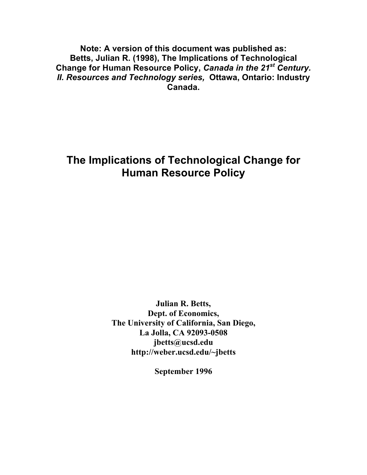**Note: A version of this document was published as: Betts, Julian R. (1998), The Implications of Technological Change for Human Resource Policy,** *Canada in the 21st Century. II. Resources and Technology series,* **Ottawa, Ontario: Industry Canada.**

# **The Implications of Technological Change for Human Resource Policy**

**Julian R. Betts, Dept. of Economics, The University of California, San Diego, La Jolla, CA 92093-0508 jbetts@ucsd.edu http://weber.ucsd.edu/~jbetts**

**September 1996**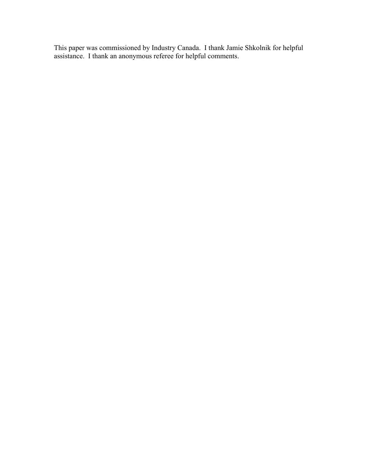This paper was commissioned by Industry Canada. I thank Jamie Shkolnik for helpful assistance. I thank an anonymous referee for helpful comments.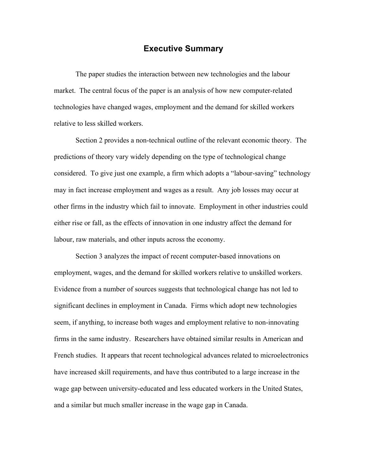### **Executive Summary**

The paper studies the interaction between new technologies and the labour market. The central focus of the paper is an analysis of how new computer-related technologies have changed wages, employment and the demand for skilled workers relative to less skilled workers.

Section 2 provides a non-technical outline of the relevant economic theory. The predictions of theory vary widely depending on the type of technological change considered. To give just one example, a firm which adopts a "labour-saving" technology may in fact increase employment and wages as a result. Any job losses may occur at other firms in the industry which fail to innovate. Employment in other industries could either rise or fall, as the effects of innovation in one industry affect the demand for labour, raw materials, and other inputs across the economy.

Section 3 analyzes the impact of recent computer-based innovations on employment, wages, and the demand for skilled workers relative to unskilled workers. Evidence from a number of sources suggests that technological change has not led to significant declines in employment in Canada. Firms which adopt new technologies seem, if anything, to increase both wages and employment relative to non-innovating firms in the same industry. Researchers have obtained similar results in American and French studies. It appears that recent technological advances related to microelectronics have increased skill requirements, and have thus contributed to a large increase in the wage gap between university-educated and less educated workers in the United States, and a similar but much smaller increase in the wage gap in Canada.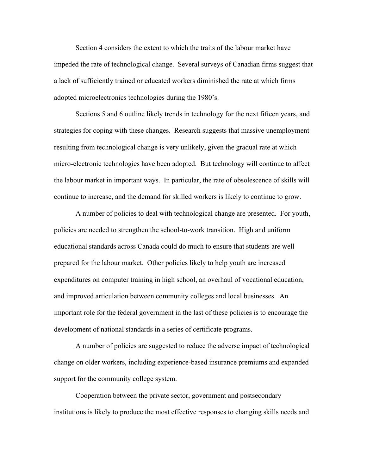Section 4 considers the extent to which the traits of the labour market have impeded the rate of technological change. Several surveys of Canadian firms suggest that a lack of sufficiently trained or educated workers diminished the rate at which firms adopted microelectronics technologies during the 1980's.

Sections 5 and 6 outline likely trends in technology for the next fifteen years, and strategies for coping with these changes. Research suggests that massive unemployment resulting from technological change is very unlikely, given the gradual rate at which micro-electronic technologies have been adopted. But technology will continue to affect the labour market in important ways. In particular, the rate of obsolescence of skills will continue to increase, and the demand for skilled workers is likely to continue to grow.

A number of policies to deal with technological change are presented. For youth, policies are needed to strengthen the school-to-work transition. High and uniform educational standards across Canada could do much to ensure that students are well prepared for the labour market. Other policies likely to help youth are increased expenditures on computer training in high school, an overhaul of vocational education, and improved articulation between community colleges and local businesses. An important role for the federal government in the last of these policies is to encourage the development of national standards in a series of certificate programs.

A number of policies are suggested to reduce the adverse impact of technological change on older workers, including experience-based insurance premiums and expanded support for the community college system.

Cooperation between the private sector, government and postsecondary institutions is likely to produce the most effective responses to changing skills needs and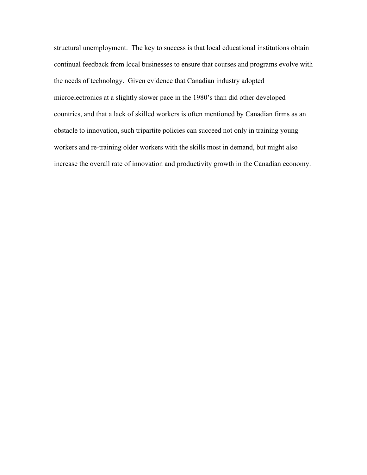structural unemployment. The key to success is that local educational institutions obtain continual feedback from local businesses to ensure that courses and programs evolve with the needs of technology. Given evidence that Canadian industry adopted microelectronics at a slightly slower pace in the 1980's than did other developed countries, and that a lack of skilled workers is often mentioned by Canadian firms as an obstacle to innovation, such tripartite policies can succeed not only in training young workers and re-training older workers with the skills most in demand, but might also increase the overall rate of innovation and productivity growth in the Canadian economy.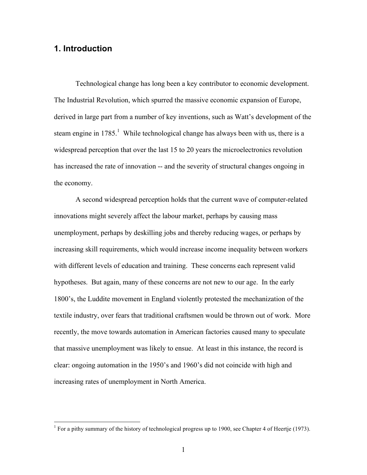### **1. Introduction**

Technological change has long been a key contributor to economic development. The Industrial Revolution, which spurred the massive economic expansion of Europe, derived in large part from a number of key inventions, such as Watt's development of the steam engine in  $1785$ .<sup>1</sup> While technological change has always been with us, there is a widespread perception that over the last 15 to 20 years the microelectronics revolution has increased the rate of innovation -- and the severity of structural changes ongoing in the economy.

A second widespread perception holds that the current wave of computer-related innovations might severely affect the labour market, perhaps by causing mass unemployment, perhaps by deskilling jobs and thereby reducing wages, or perhaps by increasing skill requirements, which would increase income inequality between workers with different levels of education and training. These concerns each represent valid hypotheses. But again, many of these concerns are not new to our age. In the early 1800's, the Luddite movement in England violently protested the mechanization of the textile industry, over fears that traditional craftsmen would be thrown out of work. More recently, the move towards automation in American factories caused many to speculate that massive unemployment was likely to ensue. At least in this instance, the record is clear: ongoing automation in the 1950's and 1960's did not coincide with high and increasing rates of unemployment in North America.

<sup>&</sup>lt;sup>1</sup> For a pithy summary of the history of technological progress up to 1900, see Chapter 4 of Heertje (1973).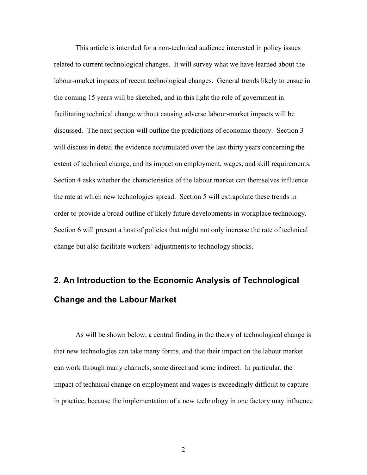This article is intended for a non-technical audience interested in policy issues related to current technological changes. It will survey what we have learned about the labour-market impacts of recent technological changes. General trends likely to ensue in the coming 15 years will be sketched, and in this light the role of government in facilitating technical change without causing adverse labour-market impacts will be discussed. The next section will outline the predictions of economic theory. Section 3 will discuss in detail the evidence accumulated over the last thirty years concerning the extent of technical change, and its impact on employment, wages, and skill requirements. Section 4 asks whether the characteristics of the labour market can themselves influence the rate at which new technologies spread. Section 5 will extrapolate these trends in order to provide a broad outline of likely future developments in workplace technology. Section 6 will present a host of policies that might not only increase the rate of technical change but also facilitate workers' adjustments to technology shocks.

# **2. An Introduction to the Economic Analysis of Technological Change and the Labour Market**

As will be shown below, a central finding in the theory of technological change is that new technologies can take many forms, and that their impact on the labour market can work through many channels, some direct and some indirect. In particular, the impact of technical change on employment and wages is exceedingly difficult to capture in practice, because the implementation of a new technology in one factory may influence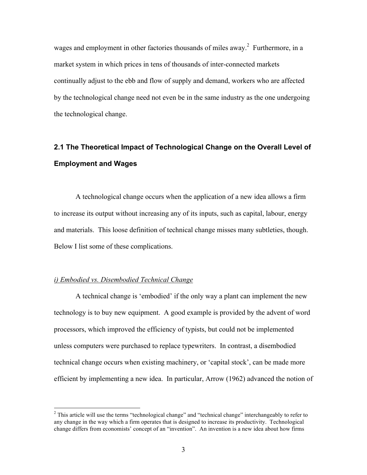wages and employment in other factories thousands of miles away.<sup>2</sup> Furthermore, in a market system in which prices in tens of thousands of inter-connected markets continually adjust to the ebb and flow of supply and demand, workers who are affected by the technological change need not even be in the same industry as the one undergoing the technological change.

# **2.1 The Theoretical Impact of Technological Change on the Overall Level of Employment and Wages**

A technological change occurs when the application of a new idea allows a firm to increase its output without increasing any of its inputs, such as capital, labour, energy and materials. This loose definition of technical change misses many subtleties, though. Below I list some of these complications.

#### *i) Embodied vs. Disembodied Technical Change*

A technical change is 'embodied' if the only way a plant can implement the new technology is to buy new equipment. A good example is provided by the advent of word processors, which improved the efficiency of typists, but could not be implemented unless computers were purchased to replace typewriters. In contrast, a disembodied technical change occurs when existing machinery, or 'capital stock', can be made more efficient by implementing a new idea. In particular, Arrow (1962) advanced the notion of

<sup>&</sup>lt;sup>2</sup> This article will use the terms "technological change" and "technical change" interchangeably to refer to any change in the way which a firm operates that is designed to increase its productivity. Technological change differs from economists' concept of an "invention". An invention is a new idea about how firms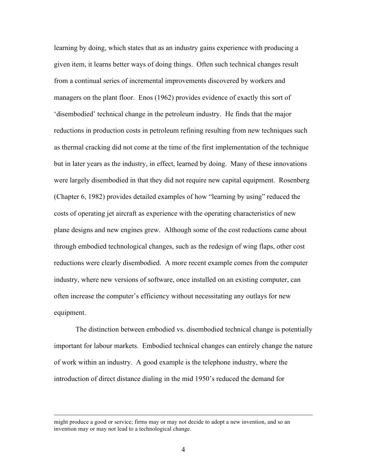learning by doing, which states that as an industry gains experience with producing a given item, it learns better ways of doing things. Often such technical changes result from a continual series of incremental improvements discovered by workers and managers on the plant floor. Enos (1962) provides evidence of exactly this sort of 'disembodied' technical change in the petroleum industry. He finds that the major reductions in production costs in petroleum refining resulting from new techniques such as thermal cracking did not come at the time of the first implementation of the technique but in later years as the industry, in effect, learned by doing. Many of these innovations were largely disembodied in that they did not require new capital equipment. Rosenberg (Chapter 6, 1982) provides detailed examples of how "learning by using" reduced the costs of operating jet aircraft as experience with the operating characteristics of new plane designs and new engines grew. Although some of the cost reductions came about through embodied technological changes, such as the redesign of wing flaps, other cost reductions were clearly disembodied. A more recent example comes from the computer industry, where new versions of software, once installed on an existing computer, can often increase the computer's efficiency without necessitating any outlays for new equipment.

The distinction between embodied vs. disembodied technical change is potentially important for labour markets. Embodied technical changes can entirely change the nature of work within an industry. A good example is the telephone industry, where the introduction of direct distance dialing in the mid 1950's reduced the demand for

might produce a good or service; firms may or may not decide to adopt a new invention, and so an invention may or may not lead to a technological change.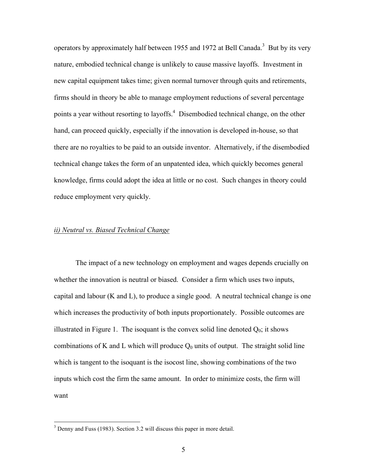operators by approximately half between 1955 and 1972 at Bell Canada.<sup>3</sup> But by its very nature, embodied technical change is unlikely to cause massive layoffs. Investment in new capital equipment takes time; given normal turnover through quits and retirements, firms should in theory be able to manage employment reductions of several percentage points a year without resorting to layoffs.<sup>4</sup> Disembodied technical change, on the other hand, can proceed quickly, especially if the innovation is developed in-house, so that there are no royalties to be paid to an outside inventor. Alternatively, if the disembodied technical change takes the form of an unpatented idea, which quickly becomes general knowledge, firms could adopt the idea at little or no cost. Such changes in theory could reduce employment very quickly.

#### *ii) Neutral vs. Biased Technical Change*

The impact of a new technology on employment and wages depends crucially on whether the innovation is neutral or biased. Consider a firm which uses two inputs, capital and labour (K and L), to produce a single good. A neutral technical change is one which increases the productivity of both inputs proportionately. Possible outcomes are illustrated in Figure 1. The isoquant is the convex solid line denoted  $Q_0$ ; it shows combinations of K and L which will produce  $Q_0$  units of output. The straight solid line which is tangent to the isoquant is the isocost line, showing combinations of the two inputs which cost the firm the same amount. In order to minimize costs, the firm will want

 <sup>3</sup> Denny and Fuss (1983). Section 3.2 will discuss this paper in more detail.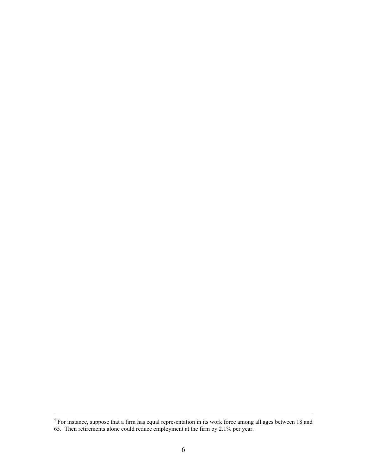<sup>&</sup>lt;sup>4</sup> For instance, suppose that a firm has equal representation in its work force among all ages between 18 and 65. Then retirements alone could reduce employment at the firm by 2.1% per year.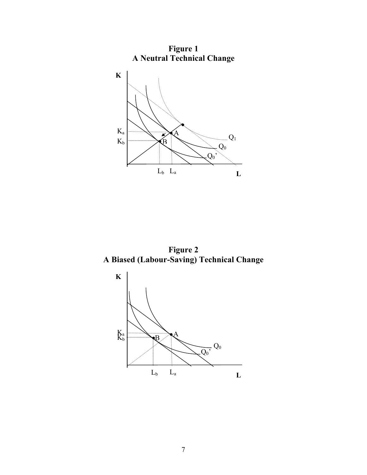

**Figure 2 A Biased (Labour-Saving) Technical Change**

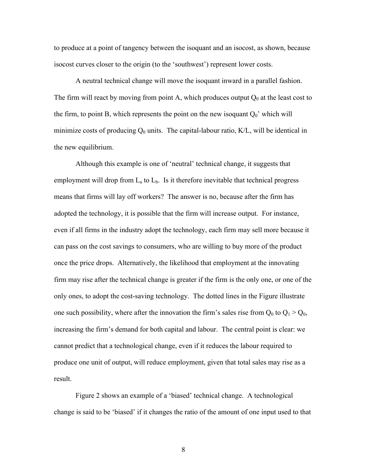to produce at a point of tangency between the isoquant and an isocost, as shown, because isocost curves closer to the origin (to the 'southwest') represent lower costs.

A neutral technical change will move the isoquant inward in a parallel fashion. The firm will react by moving from point A, which produces output  $Q_0$  at the least cost to the firm, to point B, which represents the point on the new isoquant  $Q_0'$  which will minimize costs of producing  $Q_0$  units. The capital-labour ratio,  $K/L$ , will be identical in the new equilibrium.

Although this example is one of 'neutral' technical change, it suggests that employment will drop from  $L_a$  to  $L_b$ . Is it therefore inevitable that technical progress means that firms will lay off workers? The answer is no, because after the firm has adopted the technology, it is possible that the firm will increase output. For instance, even if all firms in the industry adopt the technology, each firm may sell more because it can pass on the cost savings to consumers, who are willing to buy more of the product once the price drops. Alternatively, the likelihood that employment at the innovating firm may rise after the technical change is greater if the firm is the only one, or one of the only ones, to adopt the cost-saving technology. The dotted lines in the Figure illustrate one such possibility, where after the innovation the firm's sales rise from  $Q_0$  to  $Q_1 > Q_0$ , increasing the firm's demand for both capital and labour. The central point is clear: we cannot predict that a technological change, even if it reduces the labour required to produce one unit of output, will reduce employment, given that total sales may rise as a result.

Figure 2 shows an example of a 'biased' technical change. A technological change is said to be 'biased' if it changes the ratio of the amount of one input used to that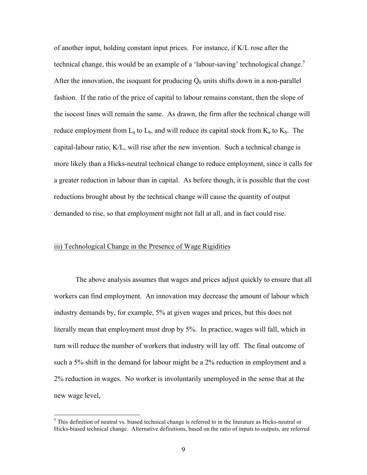of another input, holding constant input prices. For instance, if K/L rose after the technical change, this would be an example of a 'labour-saving' technological change.<sup>5</sup> After the innovation, the isoquant for producing  $Q_0$  units shifts down in a non-parallel fashion. If the ratio of the price of capital to labour remains constant, then the slope of the isocost lines will remain the same. As drawn, the firm after the technical change will reduce employment from  $L_a$  to  $L_b$ , and will reduce its capital stock from  $K_a$  to  $K_b$ . The capital-labour ratio, K/L, will rise after the new invention. Such a technical change is more likely than a Hicks-neutral technical change to reduce employment, since it calls for a greater reduction in labour than in capital. As before though, it is possible that the cost reductions brought about by the technical change will cause the quantity of output demanded to rise, so that employment might not fall at all, and in fact could rise.

#### iii) Technological Change in the Presence of Wage Rigidities

The above analysis assumes that wages and prices adjust quickly to ensure that all workers can find employment. An innovation may decrease the amount of labour which industry demands by, for example, 5% at given wages and prices, but this does not literally mean that employment must drop by 5%. In practice, wages will fall, which in turn will reduce the number of workers that industry will lay off. The final outcome of such a 5% shift in the demand for labour might be a 2% reduction in employment and a 2% reduction in wages. No worker is involuntarily unemployed in the sense that at the new wage level,

<sup>&</sup>lt;sup>5</sup> This definition of neutral vs. biased technical change is referred to in the literature as Hicks-neutral or Hicks-biased technical change. Alternative definitions, based on the ratio of inputs to outputs, are referred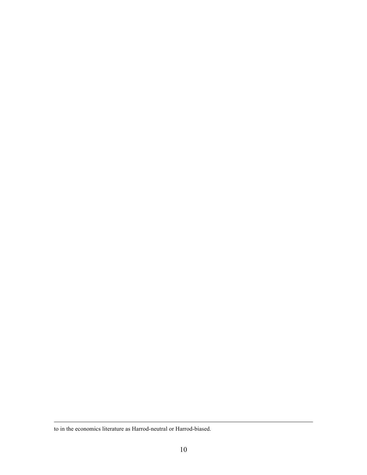to in the economics literature as Harrod-neutral or Harrod-biased.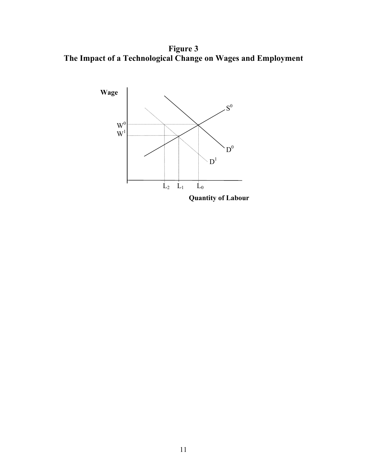**Figure 3 The Impact of a Technological Change on Wages and Employment**

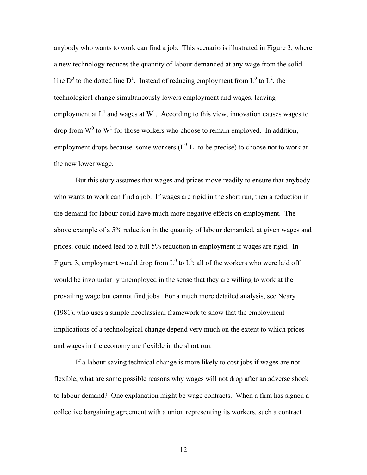anybody who wants to work can find a job. This scenario is illustrated in Figure 3, where a new technology reduces the quantity of labour demanded at any wage from the solid line D<sup>0</sup> to the dotted line D<sup>1</sup>. Instead of reducing employment from L<sup>0</sup> to L<sup>2</sup>, the technological change simultaneously lowers employment and wages, leaving employment at  $L^1$  and wages at  $W^1$ . According to this view, innovation causes wages to drop from  $W^0$  to  $W^1$  for those workers who choose to remain employed. In addition, employment drops because some workers  $(L^0-L^1)$  to be precise) to choose not to work at the new lower wage.

But this story assumes that wages and prices move readily to ensure that anybody who wants to work can find a job. If wages are rigid in the short run, then a reduction in the demand for labour could have much more negative effects on employment. The above example of a 5% reduction in the quantity of labour demanded, at given wages and prices, could indeed lead to a full 5% reduction in employment if wages are rigid. In Figure 3, employment would drop from  $L^0$  to  $L^2$ ; all of the workers who were laid off would be involuntarily unemployed in the sense that they are willing to work at the prevailing wage but cannot find jobs. For a much more detailed analysis, see Neary (1981), who uses a simple neoclassical framework to show that the employment implications of a technological change depend very much on the extent to which prices and wages in the economy are flexible in the short run.

If a labour-saving technical change is more likely to cost jobs if wages are not flexible, what are some possible reasons why wages will not drop after an adverse shock to labour demand? One explanation might be wage contracts. When a firm has signed a collective bargaining agreement with a union representing its workers, such a contract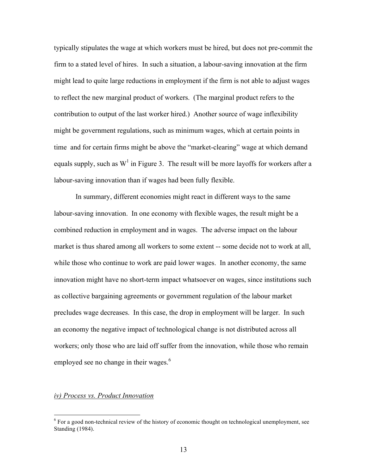typically stipulates the wage at which workers must be hired, but does not pre-commit the firm to a stated level of hires. In such a situation, a labour-saving innovation at the firm might lead to quite large reductions in employment if the firm is not able to adjust wages to reflect the new marginal product of workers. (The marginal product refers to the contribution to output of the last worker hired.) Another source of wage inflexibility might be government regulations, such as minimum wages, which at certain points in time and for certain firms might be above the "market-clearing" wage at which demand equals supply, such as  $W^1$  in Figure 3. The result will be more layoffs for workers after a labour-saving innovation than if wages had been fully flexible.

In summary, different economies might react in different ways to the same labour-saving innovation. In one economy with flexible wages, the result might be a combined reduction in employment and in wages. The adverse impact on the labour market is thus shared among all workers to some extent -- some decide not to work at all, while those who continue to work are paid lower wages. In another economy, the same innovation might have no short-term impact whatsoever on wages, since institutions such as collective bargaining agreements or government regulation of the labour market precludes wage decreases. In this case, the drop in employment will be larger. In such an economy the negative impact of technological change is not distributed across all workers; only those who are laid off suffer from the innovation, while those who remain employed see no change in their wages.<sup>6</sup>

#### *iv) Process vs. Product Innovation*

 $6$  For a good non-technical review of the history of economic thought on technological unemployment, see Standing (1984).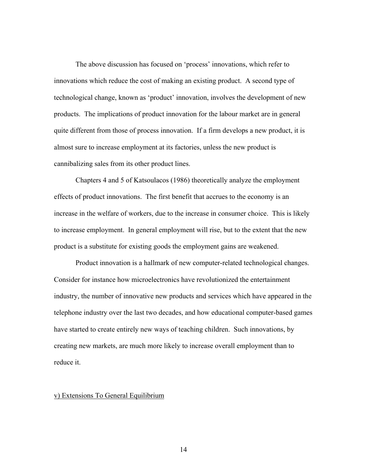The above discussion has focused on 'process' innovations, which refer to innovations which reduce the cost of making an existing product. A second type of technological change, known as 'product' innovation, involves the development of new products. The implications of product innovation for the labour market are in general quite different from those of process innovation. If a firm develops a new product, it is almost sure to increase employment at its factories, unless the new product is cannibalizing sales from its other product lines.

Chapters 4 and 5 of Katsoulacos (1986) theoretically analyze the employment effects of product innovations. The first benefit that accrues to the economy is an increase in the welfare of workers, due to the increase in consumer choice. This is likely to increase employment. In general employment will rise, but to the extent that the new product is a substitute for existing goods the employment gains are weakened.

Product innovation is a hallmark of new computer-related technological changes. Consider for instance how microelectronics have revolutionized the entertainment industry, the number of innovative new products and services which have appeared in the telephone industry over the last two decades, and how educational computer-based games have started to create entirely new ways of teaching children. Such innovations, by creating new markets, are much more likely to increase overall employment than to reduce it.

#### v) Extensions To General Equilibrium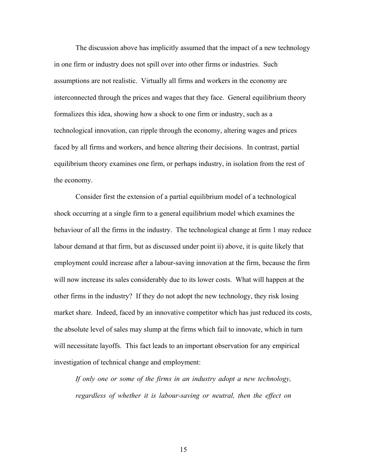The discussion above has implicitly assumed that the impact of a new technology in one firm or industry does not spill over into other firms or industries. Such assumptions are not realistic. Virtually all firms and workers in the economy are interconnected through the prices and wages that they face. General equilibrium theory formalizes this idea, showing how a shock to one firm or industry, such as a technological innovation, can ripple through the economy, altering wages and prices faced by all firms and workers, and hence altering their decisions. In contrast, partial equilibrium theory examines one firm, or perhaps industry, in isolation from the rest of the economy.

Consider first the extension of a partial equilibrium model of a technological shock occurring at a single firm to a general equilibrium model which examines the behaviour of all the firms in the industry. The technological change at firm 1 may reduce labour demand at that firm, but as discussed under point ii) above, it is quite likely that employment could increase after a labour-saving innovation at the firm, because the firm will now increase its sales considerably due to its lower costs. What will happen at the other firms in the industry? If they do not adopt the new technology, they risk losing market share. Indeed, faced by an innovative competitor which has just reduced its costs, the absolute level of sales may slump at the firms which fail to innovate, which in turn will necessitate layoffs. This fact leads to an important observation for any empirical investigation of technical change and employment:

*If only one or some of the firms in an industry adopt a new technology, regardless of whether it is labour-saving or neutral, then the effect on*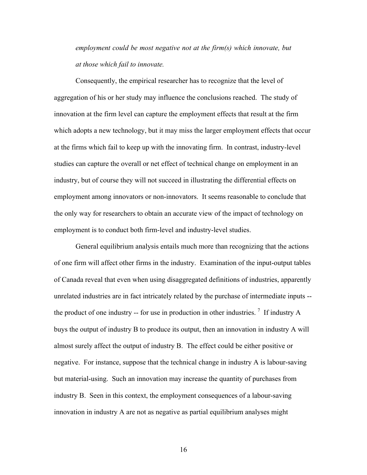*employment could be most negative not at the firm(s) which innovate, but at those which fail to innovate.*

Consequently, the empirical researcher has to recognize that the level of aggregation of his or her study may influence the conclusions reached. The study of innovation at the firm level can capture the employment effects that result at the firm which adopts a new technology, but it may miss the larger employment effects that occur at the firms which fail to keep up with the innovating firm. In contrast, industry-level studies can capture the overall or net effect of technical change on employment in an industry, but of course they will not succeed in illustrating the differential effects on employment among innovators or non-innovators. It seems reasonable to conclude that the only way for researchers to obtain an accurate view of the impact of technology on employment is to conduct both firm-level and industry-level studies.

General equilibrium analysis entails much more than recognizing that the actions of one firm will affect other firms in the industry. Examination of the input-output tables of Canada reveal that even when using disaggregated definitions of industries, apparently unrelated industries are in fact intricately related by the purchase of intermediate inputs - the product of one industry -- for use in production in other industries.<sup>7</sup> If industry A buys the output of industry B to produce its output, then an innovation in industry A will almost surely affect the output of industry B. The effect could be either positive or negative. For instance, suppose that the technical change in industry A is labour-saving but material-using. Such an innovation may increase the quantity of purchases from industry B. Seen in this context, the employment consequences of a labour-saving innovation in industry A are not as negative as partial equilibrium analyses might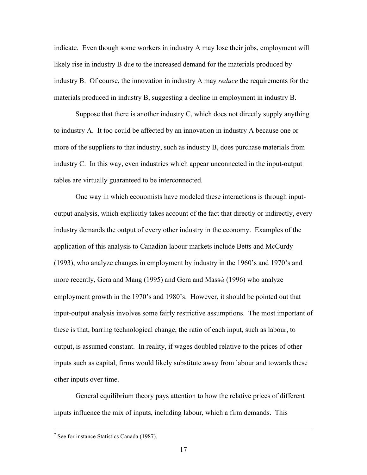indicate. Even though some workers in industry A may lose their jobs, employment will likely rise in industry B due to the increased demand for the materials produced by industry B. Of course, the innovation in industry A may *reduce* the requirements for the materials produced in industry B, suggesting a decline in employment in industry B.

Suppose that there is another industry C, which does not directly supply anything to industry A. It too could be affected by an innovation in industry A because one or more of the suppliers to that industry, such as industry B, does purchase materials from industry C. In this way, even industries which appear unconnected in the input-output tables are virtually guaranteed to be interconnected.

One way in which economists have modeled these interactions is through inputoutput analysis, which explicitly takes account of the fact that directly or indirectly, every industry demands the output of every other industry in the economy. Examples of the application of this analysis to Canadian labour markets include Betts and McCurdy (1993), who analyze changes in employment by industry in the 1960's and 1970's and more recently, Gera and Mang (1995) and Gera and Massé (1996) who analyze employment growth in the 1970's and 1980's. However, it should be pointed out that input-output analysis involves some fairly restrictive assumptions. The most important of these is that, barring technological change, the ratio of each input, such as labour, to output, is assumed constant. In reality, if wages doubled relative to the prices of other inputs such as capital, firms would likely substitute away from labour and towards these other inputs over time.

General equilibrium theory pays attention to how the relative prices of different inputs influence the mix of inputs, including labour, which a firm demands. This

 <sup>7</sup> See for instance Statistics Canada (1987).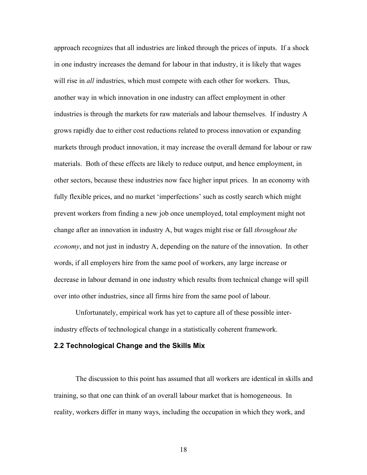approach recognizes that all industries are linked through the prices of inputs. If a shock in one industry increases the demand for labour in that industry, it is likely that wages will rise in *all* industries, which must compete with each other for workers. Thus, another way in which innovation in one industry can affect employment in other industries is through the markets for raw materials and labour themselves. If industry A grows rapidly due to either cost reductions related to process innovation or expanding markets through product innovation, it may increase the overall demand for labour or raw materials. Both of these effects are likely to reduce output, and hence employment, in other sectors, because these industries now face higher input prices. In an economy with fully flexible prices, and no market 'imperfections' such as costly search which might prevent workers from finding a new job once unemployed, total employment might not change after an innovation in industry A, but wages might rise or fall *throughout the economy*, and not just in industry A, depending on the nature of the innovation. In other words, if all employers hire from the same pool of workers, any large increase or decrease in labour demand in one industry which results from technical change will spill over into other industries, since all firms hire from the same pool of labour.

Unfortunately, empirical work has yet to capture all of these possible interindustry effects of technological change in a statistically coherent framework.

#### **2.2 Technological Change and the Skills Mix**

The discussion to this point has assumed that all workers are identical in skills and training, so that one can think of an overall labour market that is homogeneous. In reality, workers differ in many ways, including the occupation in which they work, and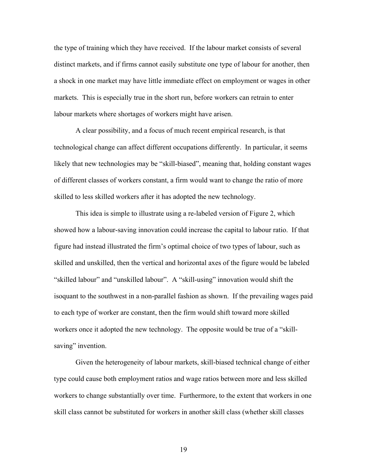the type of training which they have received. If the labour market consists of several distinct markets, and if firms cannot easily substitute one type of labour for another, then a shock in one market may have little immediate effect on employment or wages in other markets. This is especially true in the short run, before workers can retrain to enter labour markets where shortages of workers might have arisen.

A clear possibility, and a focus of much recent empirical research, is that technological change can affect different occupations differently. In particular, it seems likely that new technologies may be "skill-biased", meaning that, holding constant wages of different classes of workers constant, a firm would want to change the ratio of more skilled to less skilled workers after it has adopted the new technology.

This idea is simple to illustrate using a re-labeled version of Figure 2, which showed how a labour-saving innovation could increase the capital to labour ratio. If that figure had instead illustrated the firm's optimal choice of two types of labour, such as skilled and unskilled, then the vertical and horizontal axes of the figure would be labeled "skilled labour" and "unskilled labour". A "skill-using" innovation would shift the isoquant to the southwest in a non-parallel fashion as shown. If the prevailing wages paid to each type of worker are constant, then the firm would shift toward more skilled workers once it adopted the new technology. The opposite would be true of a "skillsaving" invention.

Given the heterogeneity of labour markets, skill-biased technical change of either type could cause both employment ratios and wage ratios between more and less skilled workers to change substantially over time. Furthermore, to the extent that workers in one skill class cannot be substituted for workers in another skill class (whether skill classes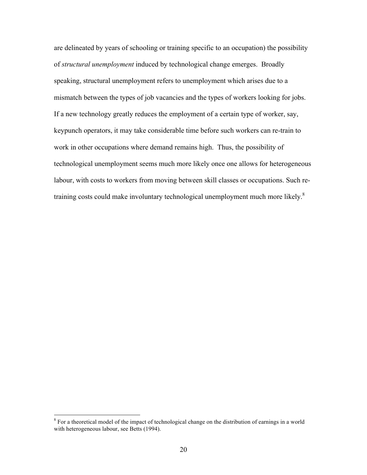are delineated by years of schooling or training specific to an occupation) the possibility of *structural unemployment* induced by technological change emerges. Broadly speaking, structural unemployment refers to unemployment which arises due to a mismatch between the types of job vacancies and the types of workers looking for jobs. If a new technology greatly reduces the employment of a certain type of worker, say, keypunch operators, it may take considerable time before such workers can re-train to work in other occupations where demand remains high. Thus, the possibility of technological unemployment seems much more likely once one allows for heterogeneous labour, with costs to workers from moving between skill classes or occupations. Such retraining costs could make involuntary technological unemployment much more likely.<sup>8</sup>

<sup>&</sup>lt;sup>8</sup> For a theoretical model of the impact of technological change on the distribution of earnings in a world with heterogeneous labour, see Betts (1994).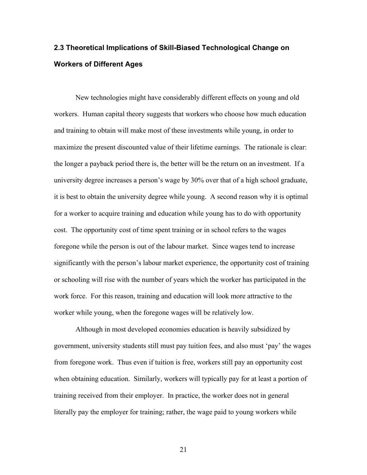### **2.3 Theoretical Implications of Skill-Biased Technological Change on Workers of Different Ages**

New technologies might have considerably different effects on young and old workers. Human capital theory suggests that workers who choose how much education and training to obtain will make most of these investments while young, in order to maximize the present discounted value of their lifetime earnings. The rationale is clear: the longer a payback period there is, the better will be the return on an investment. If a university degree increases a person's wage by 30% over that of a high school graduate, it is best to obtain the university degree while young. A second reason why it is optimal for a worker to acquire training and education while young has to do with opportunity cost. The opportunity cost of time spent training or in school refers to the wages foregone while the person is out of the labour market. Since wages tend to increase significantly with the person's labour market experience, the opportunity cost of training or schooling will rise with the number of years which the worker has participated in the work force. For this reason, training and education will look more attractive to the worker while young, when the foregone wages will be relatively low.

Although in most developed economies education is heavily subsidized by government, university students still must pay tuition fees, and also must 'pay' the wages from foregone work. Thus even if tuition is free, workers still pay an opportunity cost when obtaining education. Similarly, workers will typically pay for at least a portion of training received from their employer. In practice, the worker does not in general literally pay the employer for training; rather, the wage paid to young workers while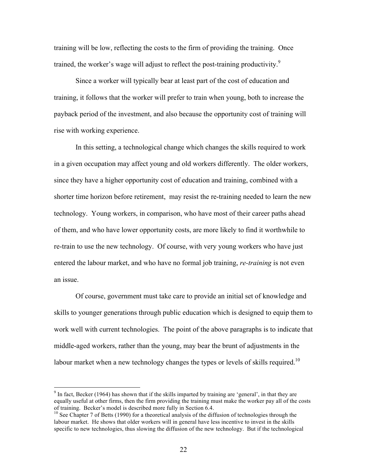training will be low, reflecting the costs to the firm of providing the training. Once trained, the worker's wage will adjust to reflect the post-training productivity.<sup>9</sup>

Since a worker will typically bear at least part of the cost of education and training, it follows that the worker will prefer to train when young, both to increase the payback period of the investment, and also because the opportunity cost of training will rise with working experience.

In this setting, a technological change which changes the skills required to work in a given occupation may affect young and old workers differently. The older workers, since they have a higher opportunity cost of education and training, combined with a shorter time horizon before retirement, may resist the re-training needed to learn the new technology. Young workers, in comparison, who have most of their career paths ahead of them, and who have lower opportunity costs, are more likely to find it worthwhile to re-train to use the new technology. Of course, with very young workers who have just entered the labour market, and who have no formal job training, *re-training* is not even an issue.

Of course, government must take care to provide an initial set of knowledge and skills to younger generations through public education which is designed to equip them to work well with current technologies. The point of the above paragraphs is to indicate that middle-aged workers, rather than the young, may bear the brunt of adjustments in the labour market when a new technology changes the types or levels of skills required.<sup>10</sup>

 $9$  In fact, Becker (1964) has shown that if the skills imparted by training are 'general', in that they are equally useful at other firms, then the firm providing the training must make the worker pay all of the costs of training. Becker's model is described more fully in Section 6.4.

 $10$  See Chapter 7 of Betts (1990) for a theoretical analysis of the diffusion of technologies through the labour market. He shows that older workers will in general have less incentive to invest in the skills specific to new technologies, thus slowing the diffusion of the new technology. But if the technological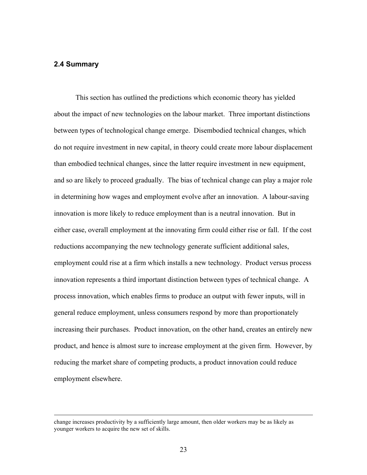### **2.4 Summary**

This section has outlined the predictions which economic theory has yielded about the impact of new technologies on the labour market. Three important distinctions between types of technological change emerge. Disembodied technical changes, which do not require investment in new capital, in theory could create more labour displacement than embodied technical changes, since the latter require investment in new equipment, and so are likely to proceed gradually. The bias of technical change can play a major role in determining how wages and employment evolve after an innovation. A labour-saving innovation is more likely to reduce employment than is a neutral innovation. But in either case, overall employment at the innovating firm could either rise or fall. If the cost reductions accompanying the new technology generate sufficient additional sales, employment could rise at a firm which installs a new technology. Product versus process innovation represents a third important distinction between types of technical change. A process innovation, which enables firms to produce an output with fewer inputs, will in general reduce employment, unless consumers respond by more than proportionately increasing their purchases. Product innovation, on the other hand, creates an entirely new product, and hence is almost sure to increase employment at the given firm. However, by reducing the market share of competing products, a product innovation could reduce employment elsewhere.

change increases productivity by a sufficiently large amount, then older workers may be as likely as younger workers to acquire the new set of skills.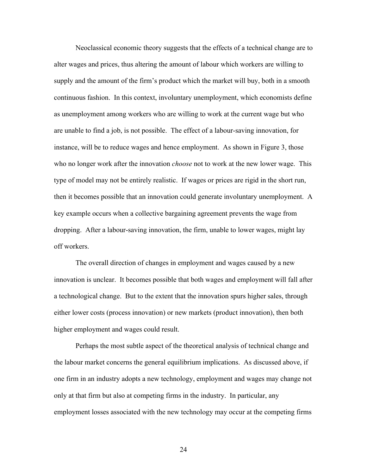Neoclassical economic theory suggests that the effects of a technical change are to alter wages and prices, thus altering the amount of labour which workers are willing to supply and the amount of the firm's product which the market will buy, both in a smooth continuous fashion. In this context, involuntary unemployment, which economists define as unemployment among workers who are willing to work at the current wage but who are unable to find a job, is not possible. The effect of a labour-saving innovation, for instance, will be to reduce wages and hence employment. As shown in Figure 3, those who no longer work after the innovation *choose* not to work at the new lower wage. This type of model may not be entirely realistic. If wages or prices are rigid in the short run, then it becomes possible that an innovation could generate involuntary unemployment. A key example occurs when a collective bargaining agreement prevents the wage from dropping. After a labour-saving innovation, the firm, unable to lower wages, might lay off workers.

The overall direction of changes in employment and wages caused by a new innovation is unclear. It becomes possible that both wages and employment will fall after a technological change. But to the extent that the innovation spurs higher sales, through either lower costs (process innovation) or new markets (product innovation), then both higher employment and wages could result.

Perhaps the most subtle aspect of the theoretical analysis of technical change and the labour market concerns the general equilibrium implications. As discussed above, if one firm in an industry adopts a new technology, employment and wages may change not only at that firm but also at competing firms in the industry. In particular, any employment losses associated with the new technology may occur at the competing firms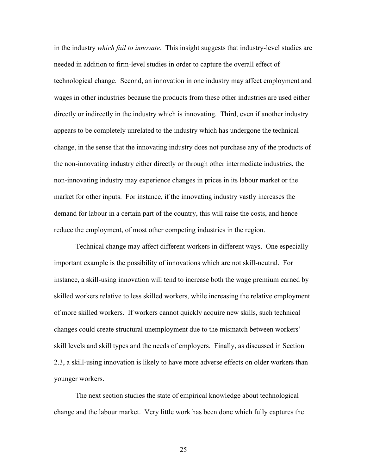in the industry *which fail to innovate*. This insight suggests that industry-level studies are needed in addition to firm-level studies in order to capture the overall effect of technological change. Second, an innovation in one industry may affect employment and wages in other industries because the products from these other industries are used either directly or indirectly in the industry which is innovating. Third, even if another industry appears to be completely unrelated to the industry which has undergone the technical change, in the sense that the innovating industry does not purchase any of the products of the non-innovating industry either directly or through other intermediate industries, the non-innovating industry may experience changes in prices in its labour market or the market for other inputs. For instance, if the innovating industry vastly increases the demand for labour in a certain part of the country, this will raise the costs, and hence reduce the employment, of most other competing industries in the region.

Technical change may affect different workers in different ways. One especially important example is the possibility of innovations which are not skill-neutral. For instance, a skill-using innovation will tend to increase both the wage premium earned by skilled workers relative to less skilled workers, while increasing the relative employment of more skilled workers. If workers cannot quickly acquire new skills, such technical changes could create structural unemployment due to the mismatch between workers' skill levels and skill types and the needs of employers. Finally, as discussed in Section 2.3, a skill-using innovation is likely to have more adverse effects on older workers than younger workers.

The next section studies the state of empirical knowledge about technological change and the labour market. Very little work has been done which fully captures the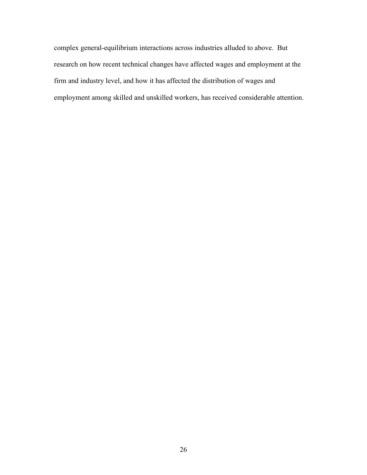complex general-equilibrium interactions across industries alluded to above. But research on how recent technical changes have affected wages and employment at the firm and industry level, and how it has affected the distribution of wages and employment among skilled and unskilled workers, has received considerable attention.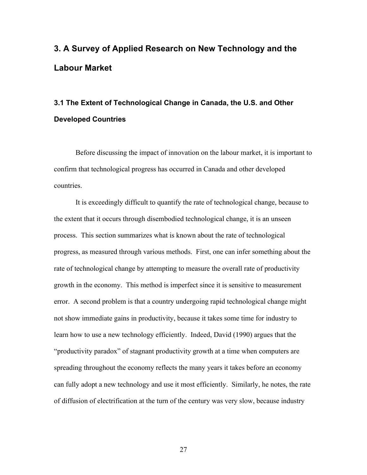# **3. A Survey of Applied Research on New Technology and the Labour Market**

## **3.1 The Extent of Technological Change in Canada, the U.S. and Other Developed Countries**

Before discussing the impact of innovation on the labour market, it is important to confirm that technological progress has occurred in Canada and other developed countries.

It is exceedingly difficult to quantify the rate of technological change, because to the extent that it occurs through disembodied technological change, it is an unseen process. This section summarizes what is known about the rate of technological progress, as measured through various methods. First, one can infer something about the rate of technological change by attempting to measure the overall rate of productivity growth in the economy. This method is imperfect since it is sensitive to measurement error. A second problem is that a country undergoing rapid technological change might not show immediate gains in productivity, because it takes some time for industry to learn how to use a new technology efficiently. Indeed, David (1990) argues that the "productivity paradox" of stagnant productivity growth at a time when computers are spreading throughout the economy reflects the many years it takes before an economy can fully adopt a new technology and use it most efficiently. Similarly, he notes, the rate of diffusion of electrification at the turn of the century was very slow, because industry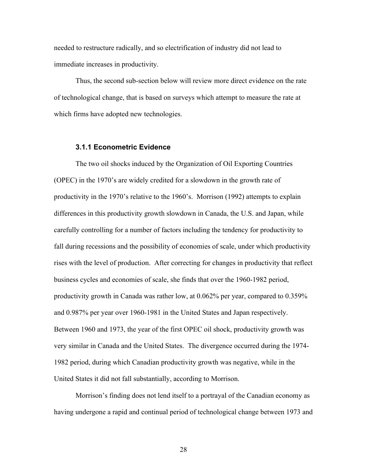needed to restructure radically, and so electrification of industry did not lead to immediate increases in productivity.

Thus, the second sub-section below will review more direct evidence on the rate of technological change, that is based on surveys which attempt to measure the rate at which firms have adopted new technologies.

#### **3.1.1 Econometric Evidence**

The two oil shocks induced by the Organization of Oil Exporting Countries (OPEC) in the 1970's are widely credited for a slowdown in the growth rate of productivity in the 1970's relative to the 1960's. Morrison (1992) attempts to explain differences in this productivity growth slowdown in Canada, the U.S. and Japan, while carefully controlling for a number of factors including the tendency for productivity to fall during recessions and the possibility of economies of scale, under which productivity rises with the level of production. After correcting for changes in productivity that reflect business cycles and economies of scale, she finds that over the 1960-1982 period, productivity growth in Canada was rather low, at 0.062% per year, compared to 0.359% and 0.987% per year over 1960-1981 in the United States and Japan respectively. Between 1960 and 1973, the year of the first OPEC oil shock, productivity growth was very similar in Canada and the United States. The divergence occurred during the 1974- 1982 period, during which Canadian productivity growth was negative, while in the United States it did not fall substantially, according to Morrison.

Morrison's finding does not lend itself to a portrayal of the Canadian economy as having undergone a rapid and continual period of technological change between 1973 and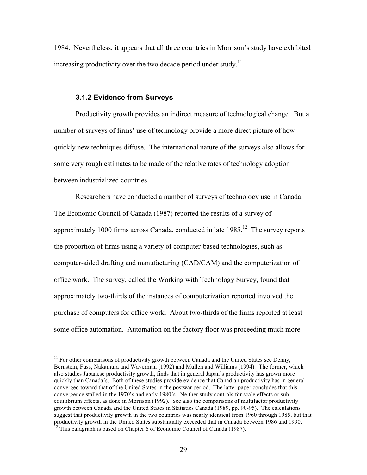1984. Nevertheless, it appears that all three countries in Morrison's study have exhibited increasing productivity over the two decade period under study.<sup>11</sup>

#### **3.1.2 Evidence from Surveys**

Productivity growth provides an indirect measure of technological change. But a number of surveys of firms' use of technology provide a more direct picture of how quickly new techniques diffuse. The international nature of the surveys also allows for some very rough estimates to be made of the relative rates of technology adoption between industrialized countries.

Researchers have conducted a number of surveys of technology use in Canada. The Economic Council of Canada (1987) reported the results of a survey of approximately 1000 firms across Canada, conducted in late  $1985$ <sup>12</sup>. The survey reports the proportion of firms using a variety of computer-based technologies, such as computer-aided drafting and manufacturing (CAD/CAM) and the computerization of office work. The survey, called the Working with Technology Survey, found that approximately two-thirds of the instances of computerization reported involved the purchase of computers for office work. About two-thirds of the firms reported at least some office automation. Automation on the factory floor was proceeding much more

 $11$  For other comparisons of productivity growth between Canada and the United States see Denny, Bernstein, Fuss, Nakamura and Waverman (1992) and Mullen and Williams (1994). The former, which also studies Japanese productivity growth, finds that in general Japan's productivity has grown more quickly than Canada's. Both of these studies provide evidence that Canadian productivity has in general converged toward that of the United States in the postwar period. The latter paper concludes that this convergence stalled in the 1970's and early 1980's. Neither study controls for scale effects or subequilibrium effects, as done in Morrison (1992). See also the comparisons of multifactor productivity growth between Canada and the United States in Statistics Canada (1989, pp. 90-95). The calculations suggest that productivity growth in the two countries was nearly identical from 1960 through 1985, but that productivity growth in the United States substantially exceeded that in Canada between 1986 and 1990.<br><sup>12</sup> This paragraph is based on Chapter 6 of Economic Council of Canada (1987).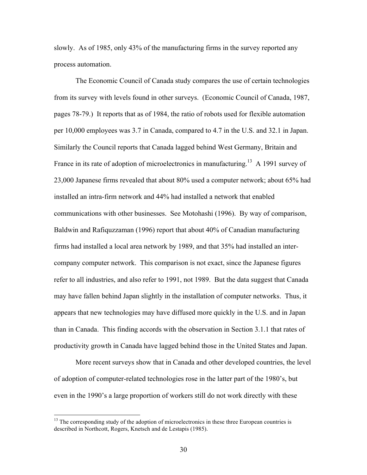slowly. As of 1985, only 43% of the manufacturing firms in the survey reported any process automation.

The Economic Council of Canada study compares the use of certain technologies from its survey with levels found in other surveys. (Economic Council of Canada, 1987, pages 78-79.) It reports that as of 1984, the ratio of robots used for flexible automation per 10,000 employees was 3.7 in Canada, compared to 4.7 in the U.S. and 32.1 in Japan. Similarly the Council reports that Canada lagged behind West Germany, Britain and France in its rate of adoption of microelectronics in manufacturing.<sup>13</sup> A 1991 survey of 23,000 Japanese firms revealed that about 80% used a computer network; about 65% had installed an intra-firm network and 44% had installed a network that enabled communications with other businesses. See Motohashi (1996). By way of comparison, Baldwin and Rafiquzzaman (1996) report that about 40% of Canadian manufacturing firms had installed a local area network by 1989, and that 35% had installed an intercompany computer network. This comparison is not exact, since the Japanese figures refer to all industries, and also refer to 1991, not 1989. But the data suggest that Canada may have fallen behind Japan slightly in the installation of computer networks. Thus, it appears that new technologies may have diffused more quickly in the U.S. and in Japan than in Canada. This finding accords with the observation in Section 3.1.1 that rates of productivity growth in Canada have lagged behind those in the United States and Japan.

More recent surveys show that in Canada and other developed countries, the level of adoption of computer-related technologies rose in the latter part of the 1980's, but even in the 1990's a large proportion of workers still do not work directly with these

<sup>&</sup>lt;sup>13</sup> The corresponding study of the adoption of microelectronics in these three European countries is described in Northcott, Rogers, Knetsch and de Lestapis (1985).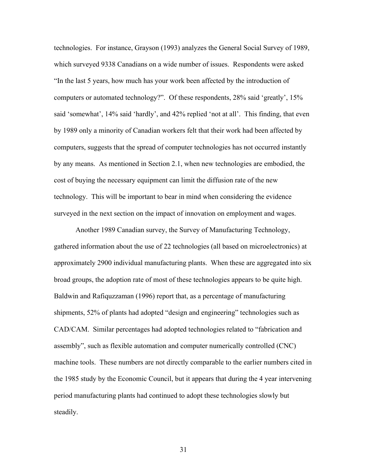technologies. For instance, Grayson (1993) analyzes the General Social Survey of 1989, which surveyed 9338 Canadians on a wide number of issues. Respondents were asked "In the last 5 years, how much has your work been affected by the introduction of computers or automated technology?". Of these respondents, 28% said 'greatly', 15% said 'somewhat', 14% said 'hardly', and 42% replied 'not at all'. This finding, that even by 1989 only a minority of Canadian workers felt that their work had been affected by computers, suggests that the spread of computer technologies has not occurred instantly by any means. As mentioned in Section 2.1, when new technologies are embodied, the cost of buying the necessary equipment can limit the diffusion rate of the new technology. This will be important to bear in mind when considering the evidence surveyed in the next section on the impact of innovation on employment and wages.

Another 1989 Canadian survey, the Survey of Manufacturing Technology, gathered information about the use of 22 technologies (all based on microelectronics) at approximately 2900 individual manufacturing plants. When these are aggregated into six broad groups, the adoption rate of most of these technologies appears to be quite high. Baldwin and Rafiquzzaman (1996) report that, as a percentage of manufacturing shipments, 52% of plants had adopted "design and engineering" technologies such as CAD/CAM. Similar percentages had adopted technologies related to "fabrication and assembly", such as flexible automation and computer numerically controlled (CNC) machine tools. These numbers are not directly comparable to the earlier numbers cited in the 1985 study by the Economic Council, but it appears that during the 4 year intervening period manufacturing plants had continued to adopt these technologies slowly but steadily.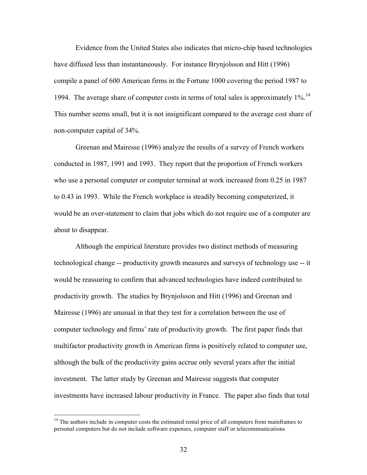Evidence from the United States also indicates that micro-chip based technologies have diffused less than instantaneously. For instance Brynjolsson and Hitt (1996) compile a panel of 600 American firms in the Fortune 1000 covering the period 1987 to 1994. The average share of computer costs in terms of total sales is approximately  $1\%$ <sup>14</sup> This number seems small, but it is not insignificant compared to the average cost share of non-computer capital of 34%.

Greenan and Mairesse (1996) analyze the results of a survey of French workers conducted in 1987, 1991 and 1993. They report that the proportion of French workers who use a personal computer or computer terminal at work increased from 0.25 in 1987 to 0.43 in 1993. While the French workplace is steadily becoming computerized, it would be an over-statement to claim that jobs which do not require use of a computer are about to disappear.

Although the empirical literature provides two distinct methods of measuring technological change -- productivity growth measures and surveys of technology use -- it would be reassuring to confirm that advanced technologies have indeed contributed to productivity growth. The studies by Brynjolsson and Hitt (1996) and Greenan and Mairesse (1996) are unusual in that they test for a correlation between the use of computer technology and firms' rate of productivity growth. The first paper finds that multifactor productivity growth in American firms is positively related to computer use, although the bulk of the productivity gains accrue only several years after the initial investment. The latter study by Greenan and Mairesse suggests that computer investments have increased labour productivity in France. The paper also finds that total

<sup>&</sup>lt;sup>14</sup> The authors include in computer costs the estimated rental price of all computers from mainframes to personal computers but do not include software expenses, computer staff or telecommunications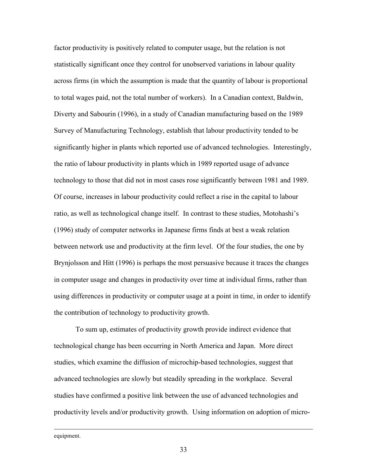factor productivity is positively related to computer usage, but the relation is not statistically significant once they control for unobserved variations in labour quality across firms (in which the assumption is made that the quantity of labour is proportional to total wages paid, not the total number of workers). In a Canadian context, Baldwin, Diverty and Sabourin (1996), in a study of Canadian manufacturing based on the 1989 Survey of Manufacturing Technology, establish that labour productivity tended to be significantly higher in plants which reported use of advanced technologies. Interestingly, the ratio of labour productivity in plants which in 1989 reported usage of advance technology to those that did not in most cases rose significantly between 1981 and 1989. Of course, increases in labour productivity could reflect a rise in the capital to labour ratio, as well as technological change itself. In contrast to these studies, Motohashi's (1996) study of computer networks in Japanese firms finds at best a weak relation between network use and productivity at the firm level. Of the four studies, the one by Brynjolsson and Hitt (1996) is perhaps the most persuasive because it traces the changes in computer usage and changes in productivity over time at individual firms, rather than using differences in productivity or computer usage at a point in time, in order to identify the contribution of technology to productivity growth.

To sum up, estimates of productivity growth provide indirect evidence that technological change has been occurring in North America and Japan. More direct studies, which examine the diffusion of microchip-based technologies, suggest that advanced technologies are slowly but steadily spreading in the workplace. Several studies have confirmed a positive link between the use of advanced technologies and productivity levels and/or productivity growth. Using information on adoption of micro-

equipment.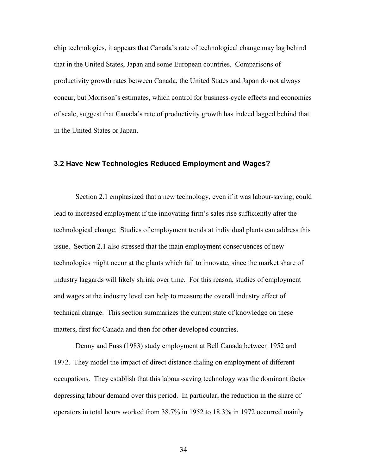chip technologies, it appears that Canada's rate of technological change may lag behind that in the United States, Japan and some European countries. Comparisons of productivity growth rates between Canada, the United States and Japan do not always concur, but Morrison's estimates, which control for business-cycle effects and economies of scale, suggest that Canada's rate of productivity growth has indeed lagged behind that in the United States or Japan.

#### **3.2 Have New Technologies Reduced Employment and Wages?**

Section 2.1 emphasized that a new technology, even if it was labour-saving, could lead to increased employment if the innovating firm's sales rise sufficiently after the technological change. Studies of employment trends at individual plants can address this issue. Section 2.1 also stressed that the main employment consequences of new technologies might occur at the plants which fail to innovate, since the market share of industry laggards will likely shrink over time. For this reason, studies of employment and wages at the industry level can help to measure the overall industry effect of technical change. This section summarizes the current state of knowledge on these matters, first for Canada and then for other developed countries.

Denny and Fuss (1983) study employment at Bell Canada between 1952 and 1972. They model the impact of direct distance dialing on employment of different occupations. They establish that this labour-saving technology was the dominant factor depressing labour demand over this period. In particular, the reduction in the share of operators in total hours worked from 38.7% in 1952 to 18.3% in 1972 occurred mainly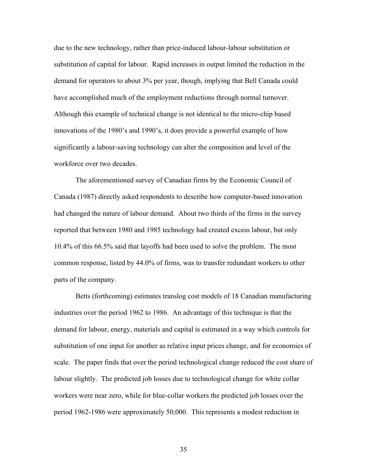due to the new technology, rather than price-induced labour-labour substitution or substitution of capital for labour. Rapid increases in output limited the reduction in the demand for operators to about 3% per year, though, implying that Bell Canada could have accomplished much of the employment reductions through normal turnover. Although this example of technical change is not identical to the micro-chip based innovations of the 1980's and 1990's, it does provide a powerful example of how significantly a labour-saving technology can alter the composition and level of the workforce over two decades.

The aforementioned survey of Canadian firms by the Economic Council of Canada (1987) directly asked respondents to describe how computer-based innovation had changed the nature of labour demand. About two thirds of the firms in the survey reported that between 1980 and 1985 technology had created excess labour, but only 10.4% of this 66.5% said that layoffs had been used to solve the problem. The most common response, listed by 44.0% of firms, was to transfer redundant workers to other parts of the company.

Betts (forthcoming) estimates translog cost models of 18 Canadian manufacturing industries over the period 1962 to 1986. An advantage of this technique is that the demand for labour, energy, materials and capital is estimated in a way which controls for substitution of one input for another as relative input prices change, and for economies of scale. The paper finds that over the period technological change reduced the cost share of labour slightly. The predicted job losses due to technological change for white collar workers were near zero, while for blue-collar workers the predicted job losses over the period 1962-1986 were approximately 50,000. This represents a modest reduction in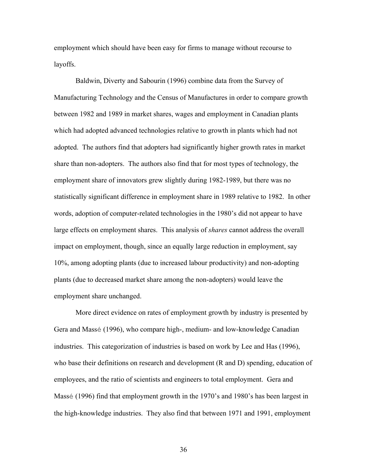employment which should have been easy for firms to manage without recourse to layoffs.

Baldwin, Diverty and Sabourin (1996) combine data from the Survey of Manufacturing Technology and the Census of Manufactures in order to compare growth between 1982 and 1989 in market shares, wages and employment in Canadian plants which had adopted advanced technologies relative to growth in plants which had not adopted. The authors find that adopters had significantly higher growth rates in market share than non-adopters. The authors also find that for most types of technology, the employment share of innovators grew slightly during 1982-1989, but there was no statistically significant difference in employment share in 1989 relative to 1982. In other words, adoption of computer-related technologies in the 1980's did not appear to have large effects on employment shares. This analysis of *shares* cannot address the overall impact on employment, though, since an equally large reduction in employment, say 10%, among adopting plants (due to increased labour productivity) and non-adopting plants (due to decreased market share among the non-adopters) would leave the employment share unchanged.

More direct evidence on rates of employment growth by industry is presented by Gera and Massé (1996), who compare high-, medium- and low-knowledge Canadian industries. This categorization of industries is based on work by Lee and Has (1996), who base their definitions on research and development (R and D) spending, education of employees, and the ratio of scientists and engineers to total employment. Gera and Massé (1996) find that employment growth in the 1970's and 1980's has been largest in the high-knowledge industries. They also find that between 1971 and 1991, employment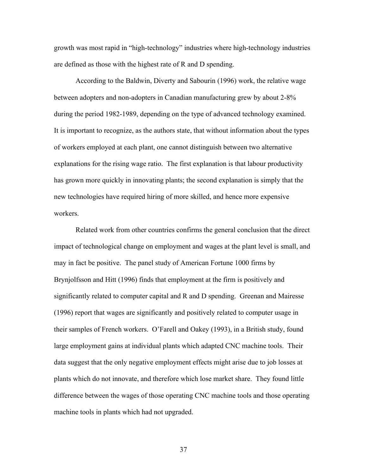growth was most rapid in "high-technology" industries where high-technology industries are defined as those with the highest rate of R and D spending.

According to the Baldwin, Diverty and Sabourin (1996) work, the relative wage between adopters and non-adopters in Canadian manufacturing grew by about 2-8% during the period 1982-1989, depending on the type of advanced technology examined. It is important to recognize, as the authors state, that without information about the types of workers employed at each plant, one cannot distinguish between two alternative explanations for the rising wage ratio. The first explanation is that labour productivity has grown more quickly in innovating plants; the second explanation is simply that the new technologies have required hiring of more skilled, and hence more expensive workers.

Related work from other countries confirms the general conclusion that the direct impact of technological change on employment and wages at the plant level is small, and may in fact be positive. The panel study of American Fortune 1000 firms by Brynjolfsson and Hitt (1996) finds that employment at the firm is positively and significantly related to computer capital and R and D spending. Greenan and Mairesse (1996) report that wages are significantly and positively related to computer usage in their samples of French workers. O'Farell and Oakey (1993), in a British study, found large employment gains at individual plants which adapted CNC machine tools. Their data suggest that the only negative employment effects might arise due to job losses at plants which do not innovate, and therefore which lose market share. They found little difference between the wages of those operating CNC machine tools and those operating machine tools in plants which had not upgraded.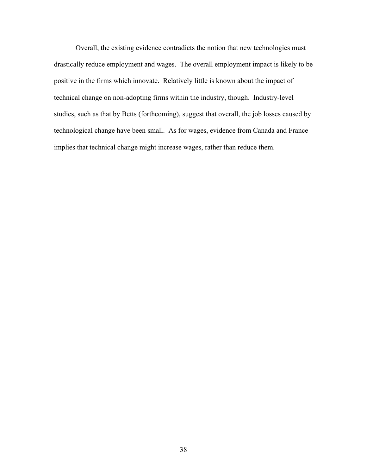Overall, the existing evidence contradicts the notion that new technologies must drastically reduce employment and wages. The overall employment impact is likely to be positive in the firms which innovate. Relatively little is known about the impact of technical change on non-adopting firms within the industry, though. Industry-level studies, such as that by Betts (forthcoming), suggest that overall, the job losses caused by technological change have been small. As for wages, evidence from Canada and France implies that technical change might increase wages, rather than reduce them.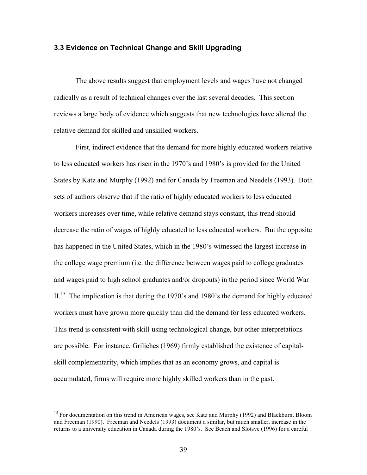### **3.3 Evidence on Technical Change and Skill Upgrading**

The above results suggest that employment levels and wages have not changed radically as a result of technical changes over the last several decades. This section reviews a large body of evidence which suggests that new technologies have altered the relative demand for skilled and unskilled workers.

First, indirect evidence that the demand for more highly educated workers relative to less educated workers has risen in the 1970's and 1980's is provided for the United States by Katz and Murphy (1992) and for Canada by Freeman and Needels (1993). Both sets of authors observe that if the ratio of highly educated workers to less educated workers increases over time, while relative demand stays constant, this trend should decrease the ratio of wages of highly educated to less educated workers. But the opposite has happened in the United States, which in the 1980's witnessed the largest increase in the college wage premium (i.e. the difference between wages paid to college graduates and wages paid to high school graduates and/or dropouts) in the period since World War II.<sup>15</sup> The implication is that during the 1970's and 1980's the demand for highly educated workers must have grown more quickly than did the demand for less educated workers. This trend is consistent with skill-using technological change, but other interpretations are possible. For instance, Griliches (1969) firmly established the existence of capitalskill complementarity, which implies that as an economy grows, and capital is accumulated, firms will require more highly skilled workers than in the past.

<sup>&</sup>lt;sup>15</sup> For documentation on this trend in American wages, see Katz and Murphy (1992) and Blackburn, Bloom and Freeman (1990). Freeman and Needels (1993) document a similar, but much smaller, increase in the returns to a university education in Canada during the 1980's. See Beach and Slotsve (1996) for a careful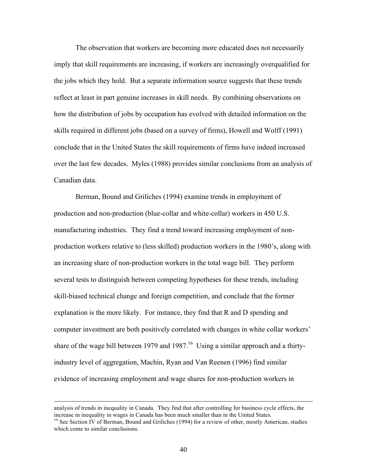The observation that workers are becoming more educated does not necessarily imply that skill requirements are increasing, if workers are increasingly overqualified for the jobs which they hold. But a separate information source suggests that these trends reflect at least in part genuine increases in skill needs. By combining observations on how the distribution of jobs by occupation has evolved with detailed information on the skills required in different jobs (based on a survey of firms), Howell and Wolff (1991) conclude that in the United States the skill requirements of firms have indeed increased over the last few decades. Myles (1988) provides similar conclusions from an analysis of Canadian data.

Berman, Bound and Griliches (1994) examine trends in employment of production and non-production (blue-collar and white-collar) workers in 450 U.S. manufacturing industries. They find a trend toward increasing employment of nonproduction workers relative to (less skilled) production workers in the 1980's, along with an increasing share of non-production workers in the total wage bill. They perform several tests to distinguish between competing hypotheses for these trends, including skill-biased technical change and foreign competition, and conclude that the former explanation is the more likely. For instance, they find that R and D spending and computer investment are both positively correlated with changes in white collar workers' share of the wage bill between 1979 and  $1987<sup>16</sup>$  Using a similar approach and a thirtyindustry level of aggregation, Machin, Ryan and Van Reenen (1996) find similar evidence of increasing employment and wage shares for non-production workers in

analysis of trends in inequality in Canada. They find that after controlling for business cycle effects, the increase in inequality in wages in Canada has been much smaller than in the United States.

<sup>&</sup>lt;sup>16</sup> See Section IV of Berman, Bound and Griliches (1994) for a review of other, mostly American, studies which come to similar conclusions.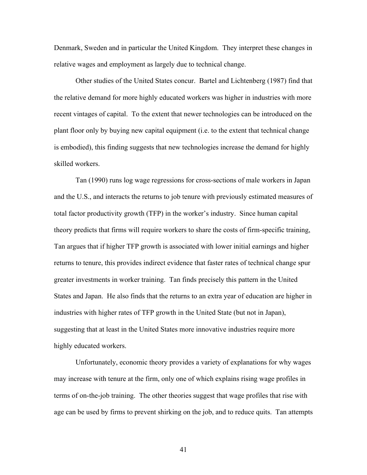Denmark, Sweden and in particular the United Kingdom. They interpret these changes in relative wages and employment as largely due to technical change.

Other studies of the United States concur. Bartel and Lichtenberg (1987) find that the relative demand for more highly educated workers was higher in industries with more recent vintages of capital. To the extent that newer technologies can be introduced on the plant floor only by buying new capital equipment (i.e. to the extent that technical change is embodied), this finding suggests that new technologies increase the demand for highly skilled workers.

Tan (1990) runs log wage regressions for cross-sections of male workers in Japan and the U.S., and interacts the returns to job tenure with previously estimated measures of total factor productivity growth (TFP) in the worker's industry. Since human capital theory predicts that firms will require workers to share the costs of firm-specific training, Tan argues that if higher TFP growth is associated with lower initial earnings and higher returns to tenure, this provides indirect evidence that faster rates of technical change spur greater investments in worker training. Tan finds precisely this pattern in the United States and Japan. He also finds that the returns to an extra year of education are higher in industries with higher rates of TFP growth in the United State (but not in Japan), suggesting that at least in the United States more innovative industries require more highly educated workers.

Unfortunately, economic theory provides a variety of explanations for why wages may increase with tenure at the firm, only one of which explains rising wage profiles in terms of on-the-job training. The other theories suggest that wage profiles that rise with age can be used by firms to prevent shirking on the job, and to reduce quits. Tan attempts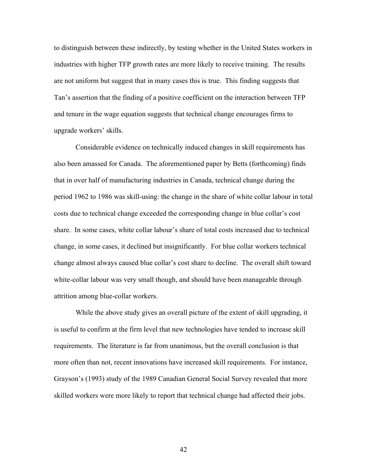to distinguish between these indirectly, by testing whether in the United States workers in industries with higher TFP growth rates are more likely to receive training. The results are not uniform but suggest that in many cases this is true. This finding suggests that Tan's assertion that the finding of a positive coefficient on the interaction between TFP and tenure in the wage equation suggests that technical change encourages firms to upgrade workers' skills.

Considerable evidence on technically induced changes in skill requirements has also been amassed for Canada. The aforementioned paper by Betts (forthcoming) finds that in over half of manufacturing industries in Canada, technical change during the period 1962 to 1986 was skill-using: the change in the share of white collar labour in total costs due to technical change exceeded the corresponding change in blue collar's cost share. In some cases, white collar labour's share of total costs increased due to technical change, in some cases, it declined but insignificantly. For blue collar workers technical change almost always caused blue collar's cost share to decline. The overall shift toward white-collar labour was very small though, and should have been manageable through attrition among blue-collar workers.

While the above study gives an overall picture of the extent of skill upgrading, it is useful to confirm at the firm level that new technologies have tended to increase skill requirements. The literature is far from unanimous, but the overall conclusion is that more often than not, recent innovations have increased skill requirements. For instance, Grayson's (1993) study of the 1989 Canadian General Social Survey revealed that more skilled workers were more likely to report that technical change had affected their jobs.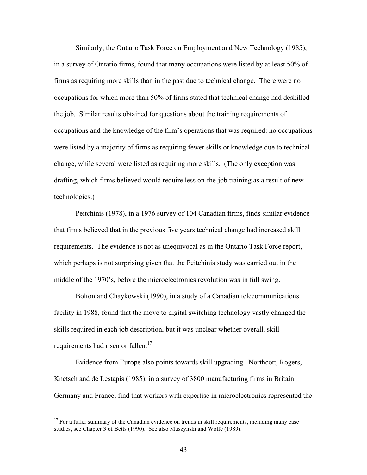Similarly, the Ontario Task Force on Employment and New Technology (1985), in a survey of Ontario firms, found that many occupations were listed by at least 50% of firms as requiring more skills than in the past due to technical change. There were no occupations for which more than 50% of firms stated that technical change had deskilled the job. Similar results obtained for questions about the training requirements of occupations and the knowledge of the firm's operations that was required: no occupations were listed by a majority of firms as requiring fewer skills or knowledge due to technical change, while several were listed as requiring more skills. (The only exception was drafting, which firms believed would require less on-the-job training as a result of new technologies.)

Peitchinis (1978), in a 1976 survey of 104 Canadian firms, finds similar evidence that firms believed that in the previous five years technical change had increased skill requirements. The evidence is not as unequivocal as in the Ontario Task Force report, which perhaps is not surprising given that the Peitchinis study was carried out in the middle of the 1970's, before the microelectronics revolution was in full swing.

Bolton and Chaykowski (1990), in a study of a Canadian telecommunications facility in 1988, found that the move to digital switching technology vastly changed the skills required in each job description, but it was unclear whether overall, skill requirements had risen or fallen.<sup>17</sup>

Evidence from Europe also points towards skill upgrading. Northcott, Rogers, Knetsch and de Lestapis (1985), in a survey of 3800 manufacturing firms in Britain Germany and France, find that workers with expertise in microelectronics represented the

 $17$  For a fuller summary of the Canadian evidence on trends in skill requirements, including many case studies, see Chapter 3 of Betts (1990). See also Muszynski and Wolfe (1989).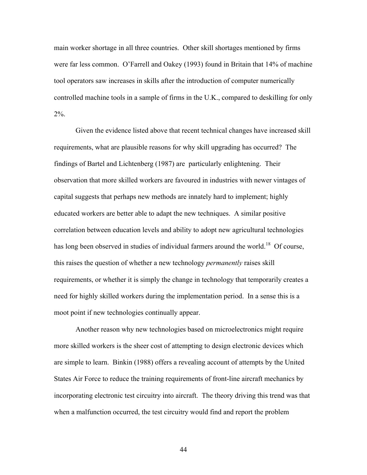main worker shortage in all three countries. Other skill shortages mentioned by firms were far less common. O'Farrell and Oakey (1993) found in Britain that 14% of machine tool operators saw increases in skills after the introduction of computer numerically controlled machine tools in a sample of firms in the U.K., compared to deskilling for only 2%.

Given the evidence listed above that recent technical changes have increased skill requirements, what are plausible reasons for why skill upgrading has occurred? The findings of Bartel and Lichtenberg (1987) are particularly enlightening. Their observation that more skilled workers are favoured in industries with newer vintages of capital suggests that perhaps new methods are innately hard to implement; highly educated workers are better able to adapt the new techniques. A similar positive correlation between education levels and ability to adopt new agricultural technologies has long been observed in studies of individual farmers around the world.<sup>18</sup> Of course, this raises the question of whether a new technology *permanently* raises skill requirements, or whether it is simply the change in technology that temporarily creates a need for highly skilled workers during the implementation period. In a sense this is a moot point if new technologies continually appear.

Another reason why new technologies based on microelectronics might require more skilled workers is the sheer cost of attempting to design electronic devices which are simple to learn. Binkin (1988) offers a revealing account of attempts by the United States Air Force to reduce the training requirements of front-line aircraft mechanics by incorporating electronic test circuitry into aircraft. The theory driving this trend was that when a malfunction occurred, the test circuitry would find and report the problem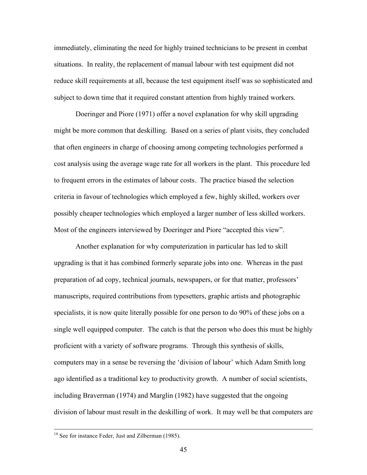immediately, eliminating the need for highly trained technicians to be present in combat situations. In reality, the replacement of manual labour with test equipment did not reduce skill requirements at all, because the test equipment itself was so sophisticated and subject to down time that it required constant attention from highly trained workers.

Doeringer and Piore (1971) offer a novel explanation for why skill upgrading might be more common that deskilling. Based on a series of plant visits, they concluded that often engineers in charge of choosing among competing technologies performed a cost analysis using the average wage rate for all workers in the plant. This procedure led to frequent errors in the estimates of labour costs. The practice biased the selection criteria in favour of technologies which employed a few, highly skilled, workers over possibly cheaper technologies which employed a larger number of less skilled workers. Most of the engineers interviewed by Doeringer and Piore "accepted this view".

Another explanation for why computerization in particular has led to skill upgrading is that it has combined formerly separate jobs into one. Whereas in the past preparation of ad copy, technical journals, newspapers, or for that matter, professors' manuscripts, required contributions from typesetters, graphic artists and photographic specialists, it is now quite literally possible for one person to do 90% of these jobs on a single well equipped computer. The catch is that the person who does this must be highly proficient with a variety of software programs. Through this synthesis of skills, computers may in a sense be reversing the 'division of labour' which Adam Smith long ago identified as a traditional key to productivity growth. A number of social scientists, including Braverman (1974) and Marglin (1982) have suggested that the ongoing division of labour must result in the deskilling of work. It may well be that computers are

<sup>&</sup>lt;sup>18</sup> See for instance Feder, Just and Zilberman (1985).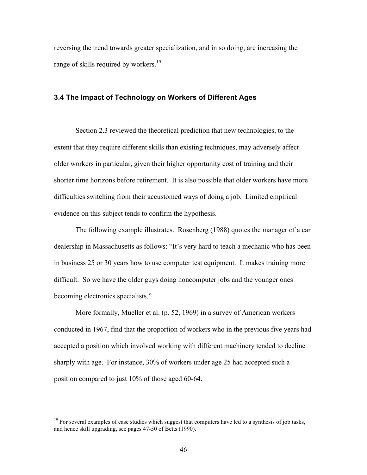reversing the trend towards greater specialization, and in so doing, are increasing the range of skills required by workers.<sup>19</sup>

### **3.4 The Impact of Technology on Workers of Different Ages**

Section 2.3 reviewed the theoretical prediction that new technologies, to the extent that they require different skills than existing techniques, may adversely affect older workers in particular, given their higher opportunity cost of training and their shorter time horizons before retirement. It is also possible that older workers have more difficulties switching from their accustomed ways of doing a job. Limited empirical evidence on this subject tends to confirm the hypothesis.

The following example illustrates. Rosenberg (1988) quotes the manager of a car dealership in Massachusetts as follows: "It's very hard to teach a mechanic who has been in business 25 or 30 years how to use computer test equipment. It makes training more difficult. So we have the older guys doing noncomputer jobs and the younger ones becoming electronics specialists."

More formally, Mueller et al. (p. 52, 1969) in a survey of American workers conducted in 1967, find that the proportion of workers who in the previous five years had accepted a position which involved working with different machinery tended to decline sharply with age. For instance, 30% of workers under age 25 had accepted such a position compared to just 10% of those aged 60-64.

 $19$  For several examples of case studies which suggest that computers have led to a synthesis of job tasks, and hence skill upgrading, see pages 47-50 of Betts (1990).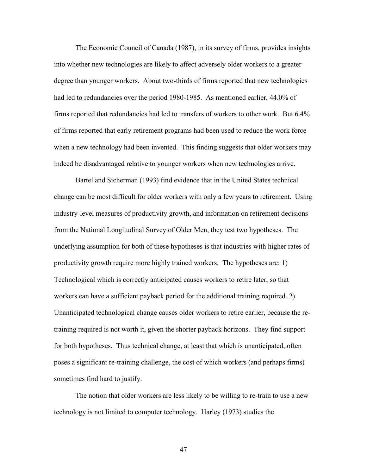The Economic Council of Canada (1987), in its survey of firms, provides insights into whether new technologies are likely to affect adversely older workers to a greater degree than younger workers. About two-thirds of firms reported that new technologies had led to redundancies over the period 1980-1985. As mentioned earlier, 44.0% of firms reported that redundancies had led to transfers of workers to other work. But 6.4% of firms reported that early retirement programs had been used to reduce the work force when a new technology had been invented. This finding suggests that older workers may indeed be disadvantaged relative to younger workers when new technologies arrive.

Bartel and Sicherman (1993) find evidence that in the United States technical change can be most difficult for older workers with only a few years to retirement. Using industry-level measures of productivity growth, and information on retirement decisions from the National Longitudinal Survey of Older Men, they test two hypotheses. The underlying assumption for both of these hypotheses is that industries with higher rates of productivity growth require more highly trained workers. The hypotheses are: 1) Technological which is correctly anticipated causes workers to retire later, so that workers can have a sufficient payback period for the additional training required. 2) Unanticipated technological change causes older workers to retire earlier, because the retraining required is not worth it, given the shorter payback horizons. They find support for both hypotheses. Thus technical change, at least that which is unanticipated, often poses a significant re-training challenge, the cost of which workers (and perhaps firms) sometimes find hard to justify.

The notion that older workers are less likely to be willing to re-train to use a new technology is not limited to computer technology. Harley (1973) studies the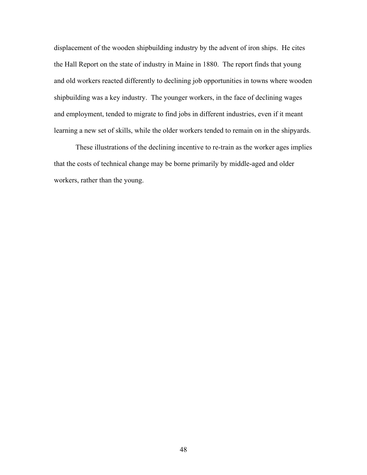displacement of the wooden shipbuilding industry by the advent of iron ships. He cites the Hall Report on the state of industry in Maine in 1880. The report finds that young and old workers reacted differently to declining job opportunities in towns where wooden shipbuilding was a key industry. The younger workers, in the face of declining wages and employment, tended to migrate to find jobs in different industries, even if it meant learning a new set of skills, while the older workers tended to remain on in the shipyards.

These illustrations of the declining incentive to re-train as the worker ages implies that the costs of technical change may be borne primarily by middle-aged and older workers, rather than the young.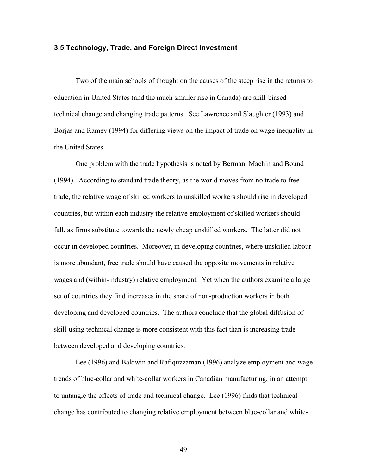### **3.5 Technology, Trade, and Foreign Direct Investment**

Two of the main schools of thought on the causes of the steep rise in the returns to education in United States (and the much smaller rise in Canada) are skill-biased technical change and changing trade patterns. See Lawrence and Slaughter (1993) and Borjas and Ramey (1994) for differing views on the impact of trade on wage inequality in the United States.

One problem with the trade hypothesis is noted by Berman, Machin and Bound (1994). According to standard trade theory, as the world moves from no trade to free trade, the relative wage of skilled workers to unskilled workers should rise in developed countries, but within each industry the relative employment of skilled workers should fall, as firms substitute towards the newly cheap unskilled workers. The latter did not occur in developed countries. Moreover, in developing countries, where unskilled labour is more abundant, free trade should have caused the opposite movements in relative wages and (within-industry) relative employment. Yet when the authors examine a large set of countries they find increases in the share of non-production workers in both developing and developed countries. The authors conclude that the global diffusion of skill-using technical change is more consistent with this fact than is increasing trade between developed and developing countries.

Lee (1996) and Baldwin and Rafiquzzaman (1996) analyze employment and wage trends of blue-collar and white-collar workers in Canadian manufacturing, in an attempt to untangle the effects of trade and technical change. Lee (1996) finds that technical change has contributed to changing relative employment between blue-collar and white-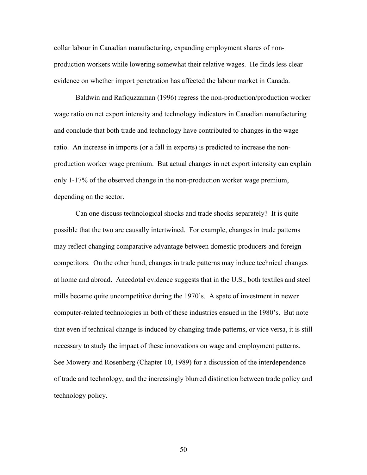collar labour in Canadian manufacturing, expanding employment shares of nonproduction workers while lowering somewhat their relative wages. He finds less clear evidence on whether import penetration has affected the labour market in Canada.

Baldwin and Rafiquzzaman (1996) regress the non-production/production worker wage ratio on net export intensity and technology indicators in Canadian manufacturing and conclude that both trade and technology have contributed to changes in the wage ratio. An increase in imports (or a fall in exports) is predicted to increase the nonproduction worker wage premium. But actual changes in net export intensity can explain only 1-17% of the observed change in the non-production worker wage premium, depending on the sector.

Can one discuss technological shocks and trade shocks separately? It is quite possible that the two are causally intertwined. For example, changes in trade patterns may reflect changing comparative advantage between domestic producers and foreign competitors. On the other hand, changes in trade patterns may induce technical changes at home and abroad. Anecdotal evidence suggests that in the U.S., both textiles and steel mills became quite uncompetitive during the 1970's. A spate of investment in newer computer-related technologies in both of these industries ensued in the 1980's. But note that even if technical change is induced by changing trade patterns, or vice versa, it is still necessary to study the impact of these innovations on wage and employment patterns. See Mowery and Rosenberg (Chapter 10, 1989) for a discussion of the interdependence of trade and technology, and the increasingly blurred distinction between trade policy and technology policy.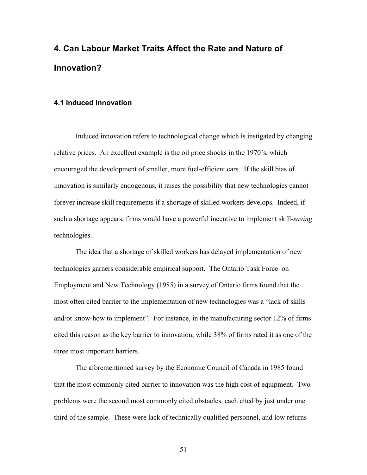## **4. Can Labour Market Traits Affect the Rate and Nature of Innovation?**

### **4.1 Induced Innovation**

Induced innovation refers to technological change which is instigated by changing relative prices. An excellent example is the oil price shocks in the 1970's, which encouraged the development of smaller, more fuel-efficient cars. If the skill bias of innovation is similarly endogenous, it raises the possibility that new technologies cannot forever increase skill requirements if a shortage of skilled workers develops. Indeed, if such a shortage appears, firms would have a powerful incentive to implement skill-*saving* technologies.

The idea that a shortage of skilled workers has delayed implementation of new technologies garners considerable empirical support. The Ontario Task Force on Employment and New Technology (1985) in a survey of Ontario firms found that the most often cited barrier to the implementation of new technologies was a "lack of skills and/or know-how to implement". For instance, in the manufacturing sector 12% of firms cited this reason as the key barrier to innovation, while 38% of firms rated it as one of the three most important barriers.

The aforementioned survey by the Economic Council of Canada in 1985 found that the most commonly cited barrier to innovation was the high cost of equipment. Two problems were the second most commonly cited obstacles, each cited by just under one third of the sample. These were lack of technically qualified personnel, and low returns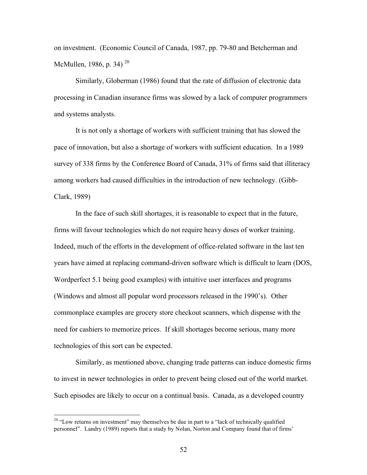on investment. (Economic Council of Canada, 1987, pp. 79-80 and Betcherman and McMullen, 1986, p. 34)<sup>20</sup>

Similarly, Globerman (1986) found that the rate of diffusion of electronic data processing in Canadian insurance firms was slowed by a lack of computer programmers and systems analysts.

It is not only a shortage of workers with sufficient training that has slowed the pace of innovation, but also a shortage of workers with sufficient education. In a 1989 survey of 338 firms by the Conference Board of Canada, 31% of firms said that illiteracy among workers had caused difficulties in the introduction of new technology. (Gibb-Clark, 1989)

In the face of such skill shortages, it is reasonable to expect that in the future, firms will favour technologies which do not require heavy doses of worker training. Indeed, much of the efforts in the development of office-related software in the last ten years have aimed at replacing command-driven software which is difficult to learn (DOS, Wordperfect 5.1 being good examples) with intuitive user interfaces and programs (Windows and almost all popular word processors released in the 1990's). Other commonplace examples are grocery store checkout scanners, which dispense with the need for cashiers to memorize prices. If skill shortages become serious, many more technologies of this sort can be expected.

Similarly, as mentioned above, changing trade patterns can induce domestic firms to invest in newer technologies in order to prevent being closed out of the world market. Such episodes are likely to occur on a continual basis. Canada, as a developed country

<sup>&</sup>lt;sup>20</sup> "Low returns on investment" may themselves be due in part to a "lack of technically qualified personnel". Landry (1989) reports that a study by Nolan, Norton and Company found that of firms'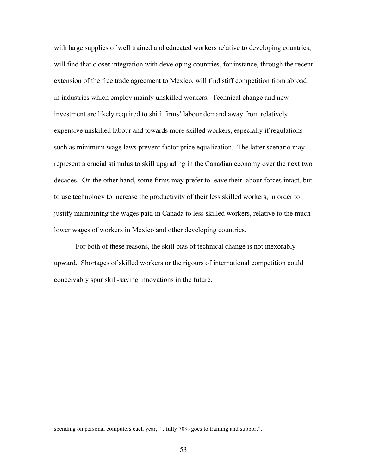with large supplies of well trained and educated workers relative to developing countries, will find that closer integration with developing countries, for instance, through the recent extension of the free trade agreement to Mexico, will find stiff competition from abroad in industries which employ mainly unskilled workers. Technical change and new investment are likely required to shift firms' labour demand away from relatively expensive unskilled labour and towards more skilled workers, especially if regulations such as minimum wage laws prevent factor price equalization. The latter scenario may represent a crucial stimulus to skill upgrading in the Canadian economy over the next two decades. On the other hand, some firms may prefer to leave their labour forces intact, but to use technology to increase the productivity of their less skilled workers, in order to justify maintaining the wages paid in Canada to less skilled workers, relative to the much lower wages of workers in Mexico and other developing countries.

For both of these reasons, the skill bias of technical change is not inexorably upward. Shortages of skilled workers or the rigours of international competition could conceivably spur skill-saving innovations in the future.

spending on personal computers each year, "...fully 70% goes to training and support".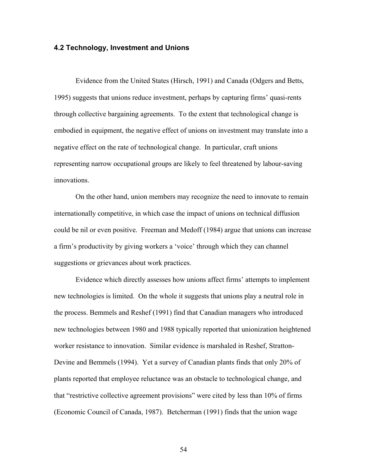### **4.2 Technology, Investment and Unions**

Evidence from the United States (Hirsch, 1991) and Canada (Odgers and Betts, 1995) suggests that unions reduce investment, perhaps by capturing firms' quasi-rents through collective bargaining agreements. To the extent that technological change is embodied in equipment, the negative effect of unions on investment may translate into a negative effect on the rate of technological change. In particular, craft unions representing narrow occupational groups are likely to feel threatened by labour-saving innovations.

On the other hand, union members may recognize the need to innovate to remain internationally competitive, in which case the impact of unions on technical diffusion could be nil or even positive. Freeman and Medoff (1984) argue that unions can increase a firm's productivity by giving workers a 'voice' through which they can channel suggestions or grievances about work practices.

Evidence which directly assesses how unions affect firms' attempts to implement new technologies is limited. On the whole it suggests that unions play a neutral role in the process. Bemmels and Reshef (1991) find that Canadian managers who introduced new technologies between 1980 and 1988 typically reported that unionization heightened worker resistance to innovation. Similar evidence is marshaled in Reshef, Stratton-Devine and Bemmels (1994). Yet a survey of Canadian plants finds that only 20% of plants reported that employee reluctance was an obstacle to technological change, and that "restrictive collective agreement provisions" were cited by less than 10% of firms (Economic Council of Canada, 1987). Betcherman (1991) finds that the union wage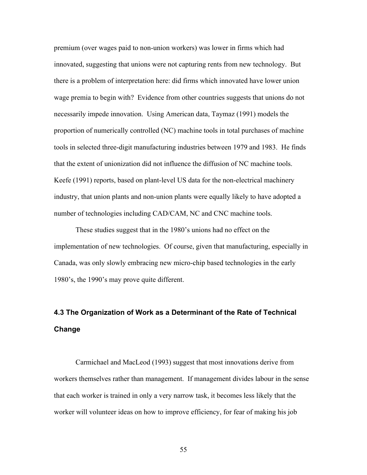premium (over wages paid to non-union workers) was lower in firms which had innovated, suggesting that unions were not capturing rents from new technology. But there is a problem of interpretation here: did firms which innovated have lower union wage premia to begin with? Evidence from other countries suggests that unions do not necessarily impede innovation. Using American data, Taymaz (1991) models the proportion of numerically controlled (NC) machine tools in total purchases of machine tools in selected three-digit manufacturing industries between 1979 and 1983. He finds that the extent of unionization did not influence the diffusion of NC machine tools. Keefe (1991) reports, based on plant-level US data for the non-electrical machinery industry, that union plants and non-union plants were equally likely to have adopted a number of technologies including CAD/CAM, NC and CNC machine tools.

These studies suggest that in the 1980's unions had no effect on the implementation of new technologies. Of course, given that manufacturing, especially in Canada, was only slowly embracing new micro-chip based technologies in the early 1980's, the 1990's may prove quite different.

## **4.3 The Organization of Work as a Determinant of the Rate of Technical Change**

Carmichael and MacLeod (1993) suggest that most innovations derive from workers themselves rather than management. If management divides labour in the sense that each worker is trained in only a very narrow task, it becomes less likely that the worker will volunteer ideas on how to improve efficiency, for fear of making his job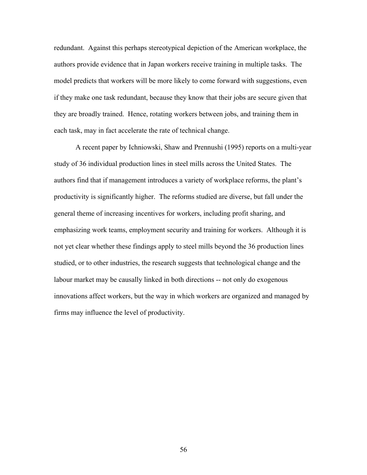redundant. Against this perhaps stereotypical depiction of the American workplace, the authors provide evidence that in Japan workers receive training in multiple tasks. The model predicts that workers will be more likely to come forward with suggestions, even if they make one task redundant, because they know that their jobs are secure given that they are broadly trained. Hence, rotating workers between jobs, and training them in each task, may in fact accelerate the rate of technical change.

A recent paper by Ichniowski, Shaw and Prennushi (1995) reports on a multi-year study of 36 individual production lines in steel mills across the United States. The authors find that if management introduces a variety of workplace reforms, the plant's productivity is significantly higher. The reforms studied are diverse, but fall under the general theme of increasing incentives for workers, including profit sharing, and emphasizing work teams, employment security and training for workers. Although it is not yet clear whether these findings apply to steel mills beyond the 36 production lines studied, or to other industries, the research suggests that technological change and the labour market may be causally linked in both directions -- not only do exogenous innovations affect workers, but the way in which workers are organized and managed by firms may influence the level of productivity.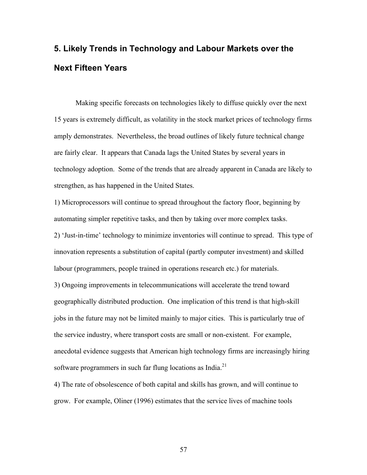# **5. Likely Trends in Technology and Labour Markets over the Next Fifteen Years**

Making specific forecasts on technologies likely to diffuse quickly over the next 15 years is extremely difficult, as volatility in the stock market prices of technology firms amply demonstrates. Nevertheless, the broad outlines of likely future technical change are fairly clear. It appears that Canada lags the United States by several years in technology adoption. Some of the trends that are already apparent in Canada are likely to strengthen, as has happened in the United States.

1) Microprocessors will continue to spread throughout the factory floor, beginning by automating simpler repetitive tasks, and then by taking over more complex tasks.

2) 'Just-in-time' technology to minimize inventories will continue to spread. This type of innovation represents a substitution of capital (partly computer investment) and skilled labour (programmers, people trained in operations research etc.) for materials.

3) Ongoing improvements in telecommunications will accelerate the trend toward geographically distributed production. One implication of this trend is that high-skill jobs in the future may not be limited mainly to major cities. This is particularly true of the service industry, where transport costs are small or non-existent. For example, anecdotal evidence suggests that American high technology firms are increasingly hiring software programmers in such far flung locations as India. $^{21}$ 

4) The rate of obsolescence of both capital and skills has grown, and will continue to grow. For example, Oliner (1996) estimates that the service lives of machine tools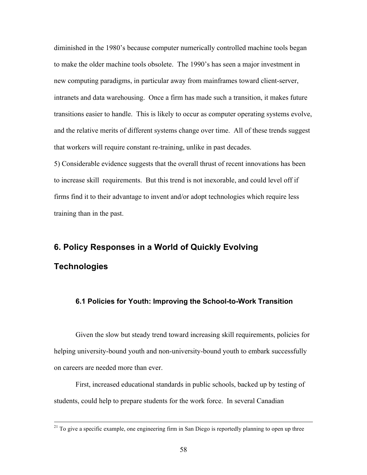diminished in the 1980's because computer numerically controlled machine tools began to make the older machine tools obsolete. The 1990's has seen a major investment in new computing paradigms, in particular away from mainframes toward client-server, intranets and data warehousing. Once a firm has made such a transition, it makes future transitions easier to handle. This is likely to occur as computer operating systems evolve, and the relative merits of different systems change over time. All of these trends suggest that workers will require constant re-training, unlike in past decades.

5) Considerable evidence suggests that the overall thrust of recent innovations has been to increase skill requirements. But this trend is not inexorable, and could level off if firms find it to their advantage to invent and/or adopt technologies which require less training than in the past.

### **6. Policy Responses in a World of Quickly Evolving**

### **Technologies**

### **6.1 Policies for Youth: Improving the School-to-Work Transition**

Given the slow but steady trend toward increasing skill requirements, policies for helping university-bound youth and non-university-bound youth to embark successfully on careers are needed more than ever.

First, increased educational standards in public schools, backed up by testing of students, could help to prepare students for the work force. In several Canadian

<sup>&</sup>lt;sup>21</sup> To give a specific example, one engineering firm in San Diego is reportedly planning to open up three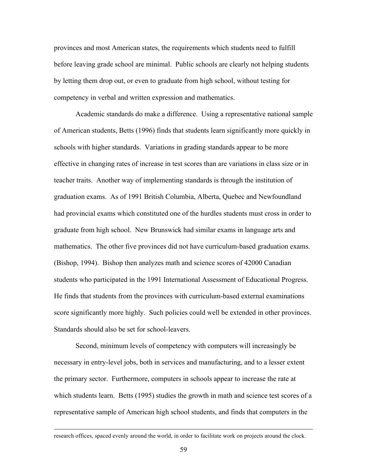provinces and most American states, the requirements which students need to fulfill before leaving grade school are minimal. Public schools are clearly not helping students by letting them drop out, or even to graduate from high school, without testing for competency in verbal and written expression and mathematics.

Academic standards do make a difference. Using a representative national sample of American students, Betts (1996) finds that students learn significantly more quickly in schools with higher standards. Variations in grading standards appear to be more effective in changing rates of increase in test scores than are variations in class size or in teacher traits. Another way of implementing standards is through the institution of graduation exams. As of 1991 British Columbia, Alberta, Quebec and Newfoundland had provincial exams which constituted one of the hurdles students must cross in order to graduate from high school. New Brunswick had similar exams in language arts and mathematics. The other five provinces did not have curriculum-based graduation exams. (Bishop, 1994). Bishop then analyzes math and science scores of 42000 Canadian students who participated in the 1991 International Assessment of Educational Progress. He finds that students from the provinces with curriculum-based external examinations score significantly more highly. Such policies could well be extended in other provinces. Standards should also be set for school-leavers.

Second, minimum levels of competency with computers will increasingly be necessary in entry-level jobs, both in services and manufacturing, and to a lesser extent the primary sector. Furthermore, computers in schools appear to increase the rate at which students learn. Betts (1995) studies the growth in math and science test scores of a representative sample of American high school students, and finds that computers in the

research offices, spaced evenly around the world, in order to facilitate work on projects around the clock.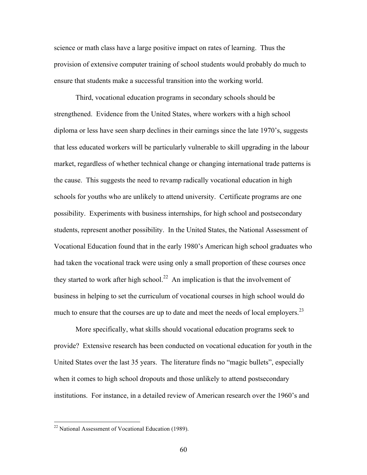science or math class have a large positive impact on rates of learning. Thus the provision of extensive computer training of school students would probably do much to ensure that students make a successful transition into the working world.

Third, vocational education programs in secondary schools should be strengthened. Evidence from the United States, where workers with a high school diploma or less have seen sharp declines in their earnings since the late 1970's, suggests that less educated workers will be particularly vulnerable to skill upgrading in the labour market, regardless of whether technical change or changing international trade patterns is the cause. This suggests the need to revamp radically vocational education in high schools for youths who are unlikely to attend university. Certificate programs are one possibility. Experiments with business internships, for high school and postsecondary students, represent another possibility. In the United States, the National Assessment of Vocational Education found that in the early 1980's American high school graduates who had taken the vocational track were using only a small proportion of these courses once they started to work after high school.<sup>22</sup> An implication is that the involvement of business in helping to set the curriculum of vocational courses in high school would do much to ensure that the courses are up to date and meet the needs of local employers.<sup>23</sup>

More specifically, what skills should vocational education programs seek to provide? Extensive research has been conducted on vocational education for youth in the United States over the last 35 years. The literature finds no "magic bullets", especially when it comes to high school dropouts and those unlikely to attend postsecondary institutions. For instance, in a detailed review of American research over the 1960's and

<sup>&</sup>lt;sup>22</sup> National Assessment of Vocational Education (1989).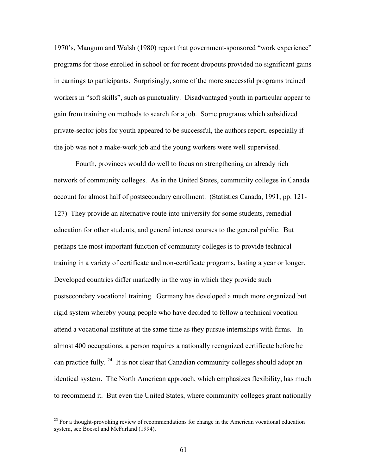1970's, Mangum and Walsh (1980) report that government-sponsored "work experience" programs for those enrolled in school or for recent dropouts provided no significant gains in earnings to participants. Surprisingly, some of the more successful programs trained workers in "soft skills", such as punctuality. Disadvantaged youth in particular appear to gain from training on methods to search for a job. Some programs which subsidized private-sector jobs for youth appeared to be successful, the authors report, especially if the job was not a make-work job and the young workers were well supervised.

Fourth, provinces would do well to focus on strengthening an already rich network of community colleges. As in the United States, community colleges in Canada account for almost half of postsecondary enrollment. (Statistics Canada, 1991, pp. 121- 127) They provide an alternative route into university for some students, remedial education for other students, and general interest courses to the general public. But perhaps the most important function of community colleges is to provide technical training in a variety of certificate and non-certificate programs, lasting a year or longer. Developed countries differ markedly in the way in which they provide such postsecondary vocational training. Germany has developed a much more organized but rigid system whereby young people who have decided to follow a technical vocation attend a vocational institute at the same time as they pursue internships with firms. In almost 400 occupations, a person requires a nationally recognized certificate before he can practice fully.  $24$  It is not clear that Canadian community colleges should adopt an identical system. The North American approach, which emphasizes flexibility, has much to recommend it. But even the United States, where community colleges grant nationally

 $^{23}$  For a thought-provoking review of recommendations for change in the American vocational education system, see Boesel and McFarland (1994).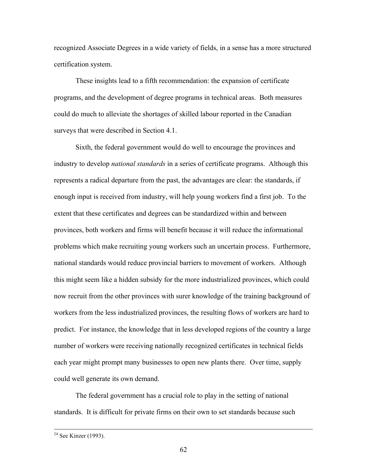recognized Associate Degrees in a wide variety of fields, in a sense has a more structured certification system.

These insights lead to a fifth recommendation: the expansion of certificate programs, and the development of degree programs in technical areas. Both measures could do much to alleviate the shortages of skilled labour reported in the Canadian surveys that were described in Section 4.1.

Sixth, the federal government would do well to encourage the provinces and industry to develop *national standards* in a series of certificate programs. Although this represents a radical departure from the past, the advantages are clear: the standards, if enough input is received from industry, will help young workers find a first job. To the extent that these certificates and degrees can be standardized within and between provinces, both workers and firms will benefit because it will reduce the informational problems which make recruiting young workers such an uncertain process. Furthermore, national standards would reduce provincial barriers to movement of workers. Although this might seem like a hidden subsidy for the more industrialized provinces, which could now recruit from the other provinces with surer knowledge of the training background of workers from the less industrialized provinces, the resulting flows of workers are hard to predict. For instance, the knowledge that in less developed regions of the country a large number of workers were receiving nationally recognized certificates in technical fields each year might prompt many businesses to open new plants there. Over time, supply could well generate its own demand.

The federal government has a crucial role to play in the setting of national standards. It is difficult for private firms on their own to set standards because such

<sup>&</sup>lt;sup>24</sup> See Kinzer (1993).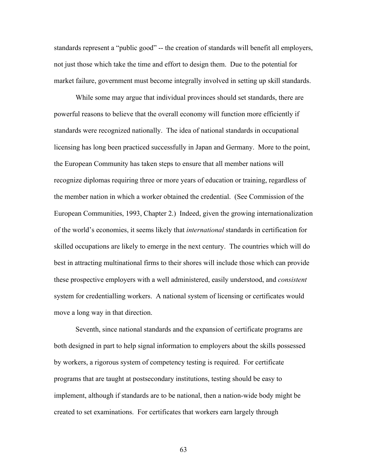standards represent a "public good" -- the creation of standards will benefit all employers, not just those which take the time and effort to design them. Due to the potential for market failure, government must become integrally involved in setting up skill standards.

While some may argue that individual provinces should set standards, there are powerful reasons to believe that the overall economy will function more efficiently if standards were recognized nationally. The idea of national standards in occupational licensing has long been practiced successfully in Japan and Germany. More to the point, the European Community has taken steps to ensure that all member nations will recognize diplomas requiring three or more years of education or training, regardless of the member nation in which a worker obtained the credential. (See Commission of the European Communities, 1993, Chapter 2.) Indeed, given the growing internationalization of the world's economies, it seems likely that *international* standards in certification for skilled occupations are likely to emerge in the next century. The countries which will do best in attracting multinational firms to their shores will include those which can provide these prospective employers with a well administered, easily understood, and *consistent* system for credentialling workers. A national system of licensing or certificates would move a long way in that direction.

Seventh, since national standards and the expansion of certificate programs are both designed in part to help signal information to employers about the skills possessed by workers, a rigorous system of competency testing is required. For certificate programs that are taught at postsecondary institutions, testing should be easy to implement, although if standards are to be national, then a nation-wide body might be created to set examinations. For certificates that workers earn largely through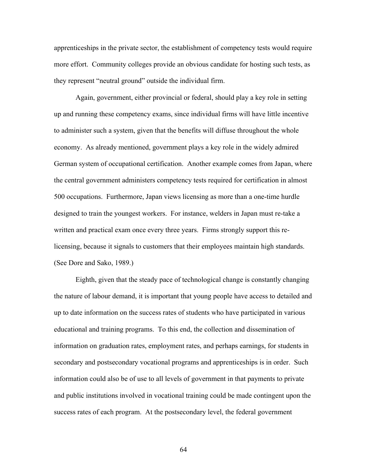apprenticeships in the private sector, the establishment of competency tests would require more effort. Community colleges provide an obvious candidate for hosting such tests, as they represent "neutral ground" outside the individual firm.

Again, government, either provincial or federal, should play a key role in setting up and running these competency exams, since individual firms will have little incentive to administer such a system, given that the benefits will diffuse throughout the whole economy. As already mentioned, government plays a key role in the widely admired German system of occupational certification. Another example comes from Japan, where the central government administers competency tests required for certification in almost 500 occupations. Furthermore, Japan views licensing as more than a one-time hurdle designed to train the youngest workers. For instance, welders in Japan must re-take a written and practical exam once every three years. Firms strongly support this relicensing, because it signals to customers that their employees maintain high standards. (See Dore and Sako, 1989.)

Eighth, given that the steady pace of technological change is constantly changing the nature of labour demand, it is important that young people have access to detailed and up to date information on the success rates of students who have participated in various educational and training programs. To this end, the collection and dissemination of information on graduation rates, employment rates, and perhaps earnings, for students in secondary and postsecondary vocational programs and apprenticeships is in order. Such information could also be of use to all levels of government in that payments to private and public institutions involved in vocational training could be made contingent upon the success rates of each program. At the postsecondary level, the federal government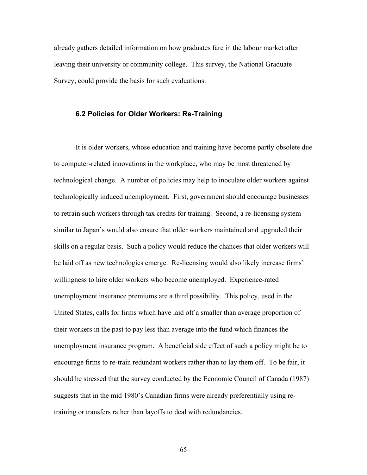already gathers detailed information on how graduates fare in the labour market after leaving their university or community college. This survey, the National Graduate Survey, could provide the basis for such evaluations.

#### **6.2 Policies for Older Workers: Re-Training**

It is older workers, whose education and training have become partly obsolete due to computer-related innovations in the workplace, who may be most threatened by technological change. A number of policies may help to inoculate older workers against technologically induced unemployment. First, government should encourage businesses to retrain such workers through tax credits for training. Second, a re-licensing system similar to Japan's would also ensure that older workers maintained and upgraded their skills on a regular basis. Such a policy would reduce the chances that older workers will be laid off as new technologies emerge. Re-licensing would also likely increase firms' willingness to hire older workers who become unemployed. Experience-rated unemployment insurance premiums are a third possibility. This policy, used in the United States, calls for firms which have laid off a smaller than average proportion of their workers in the past to pay less than average into the fund which finances the unemployment insurance program. A beneficial side effect of such a policy might be to encourage firms to re-train redundant workers rather than to lay them off. To be fair, it should be stressed that the survey conducted by the Economic Council of Canada (1987) suggests that in the mid 1980's Canadian firms were already preferentially using retraining or transfers rather than layoffs to deal with redundancies.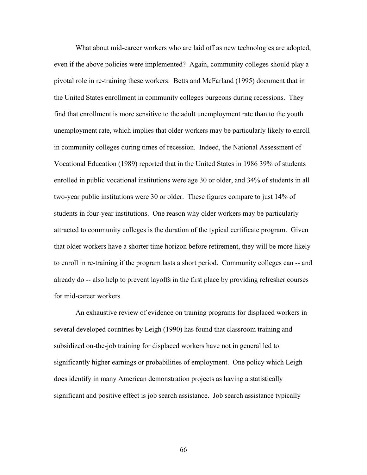What about mid-career workers who are laid off as new technologies are adopted, even if the above policies were implemented? Again, community colleges should play a pivotal role in re-training these workers. Betts and McFarland (1995) document that in the United States enrollment in community colleges burgeons during recessions. They find that enrollment is more sensitive to the adult unemployment rate than to the youth unemployment rate, which implies that older workers may be particularly likely to enroll in community colleges during times of recession. Indeed, the National Assessment of Vocational Education (1989) reported that in the United States in 1986 39% of students enrolled in public vocational institutions were age 30 or older, and 34% of students in all two-year public institutions were 30 or older. These figures compare to just 14% of students in four-year institutions. One reason why older workers may be particularly attracted to community colleges is the duration of the typical certificate program. Given that older workers have a shorter time horizon before retirement, they will be more likely to enroll in re-training if the program lasts a short period. Community colleges can -- and already do -- also help to prevent layoffs in the first place by providing refresher courses for mid-career workers.

An exhaustive review of evidence on training programs for displaced workers in several developed countries by Leigh (1990) has found that classroom training and subsidized on-the-job training for displaced workers have not in general led to significantly higher earnings or probabilities of employment. One policy which Leigh does identify in many American demonstration projects as having a statistically significant and positive effect is job search assistance. Job search assistance typically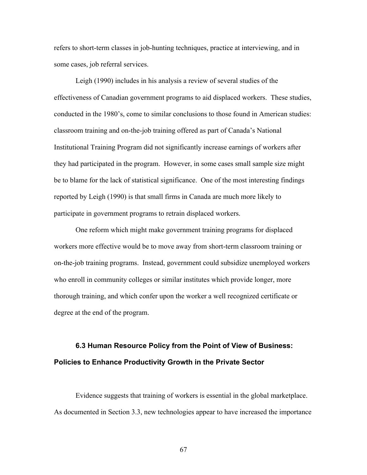refers to short-term classes in job-hunting techniques, practice at interviewing, and in some cases, job referral services.

Leigh (1990) includes in his analysis a review of several studies of the effectiveness of Canadian government programs to aid displaced workers. These studies, conducted in the 1980's, come to similar conclusions to those found in American studies: classroom training and on-the-job training offered as part of Canada's National Institutional Training Program did not significantly increase earnings of workers after they had participated in the program. However, in some cases small sample size might be to blame for the lack of statistical significance. One of the most interesting findings reported by Leigh (1990) is that small firms in Canada are much more likely to participate in government programs to retrain displaced workers.

One reform which might make government training programs for displaced workers more effective would be to move away from short-term classroom training or on-the-job training programs. Instead, government could subsidize unemployed workers who enroll in community colleges or similar institutes which provide longer, more thorough training, and which confer upon the worker a well recognized certificate or degree at the end of the program.

### **6.3 Human Resource Policy from the Point of View of Business: Policies to Enhance Productivity Growth in the Private Sector**

Evidence suggests that training of workers is essential in the global marketplace. As documented in Section 3.3, new technologies appear to have increased the importance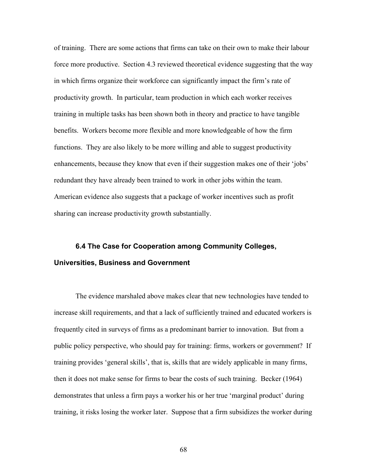of training. There are some actions that firms can take on their own to make their labour force more productive. Section 4.3 reviewed theoretical evidence suggesting that the way in which firms organize their workforce can significantly impact the firm's rate of productivity growth. In particular, team production in which each worker receives training in multiple tasks has been shown both in theory and practice to have tangible benefits. Workers become more flexible and more knowledgeable of how the firm functions. They are also likely to be more willing and able to suggest productivity enhancements, because they know that even if their suggestion makes one of their 'jobs' redundant they have already been trained to work in other jobs within the team. American evidence also suggests that a package of worker incentives such as profit sharing can increase productivity growth substantially.

## **6.4 The Case for Cooperation among Community Colleges, Universities, Business and Government**

The evidence marshaled above makes clear that new technologies have tended to increase skill requirements, and that a lack of sufficiently trained and educated workers is frequently cited in surveys of firms as a predominant barrier to innovation. But from a public policy perspective, who should pay for training: firms, workers or government? If training provides 'general skills', that is, skills that are widely applicable in many firms, then it does not make sense for firms to bear the costs of such training. Becker (1964) demonstrates that unless a firm pays a worker his or her true 'marginal product' during training, it risks losing the worker later. Suppose that a firm subsidizes the worker during

68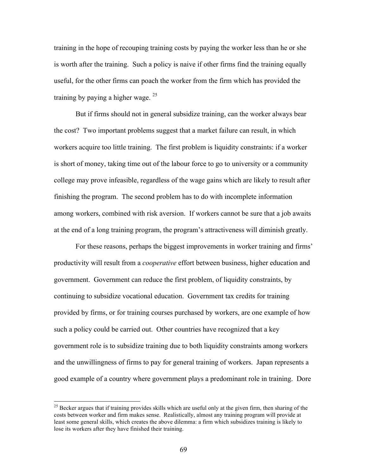training in the hope of recouping training costs by paying the worker less than he or she is worth after the training. Such a policy is naive if other firms find the training equally useful, for the other firms can poach the worker from the firm which has provided the training by paying a higher wage.  $25$ 

But if firms should not in general subsidize training, can the worker always bear the cost? Two important problems suggest that a market failure can result, in which workers acquire too little training. The first problem is liquidity constraints: if a worker is short of money, taking time out of the labour force to go to university or a community college may prove infeasible, regardless of the wage gains which are likely to result after finishing the program. The second problem has to do with incomplete information among workers, combined with risk aversion. If workers cannot be sure that a job awaits at the end of a long training program, the program's attractiveness will diminish greatly.

For these reasons, perhaps the biggest improvements in worker training and firms' productivity will result from a *cooperative* effort between business, higher education and government. Government can reduce the first problem, of liquidity constraints, by continuing to subsidize vocational education. Government tax credits for training provided by firms, or for training courses purchased by workers, are one example of how such a policy could be carried out. Other countries have recognized that a key government role is to subsidize training due to both liquidity constraints among workers and the unwillingness of firms to pay for general training of workers. Japan represents a good example of a country where government plays a predominant role in training. Dore

 $^{25}$  Becker argues that if training provides skills which are useful only at the given firm, then sharing of the costs between worker and firm makes sense. Realistically, almost any training program will provide at least some general skills, which creates the above dilemma: a firm which subsidizes training is likely to lose its workers after they have finished their training.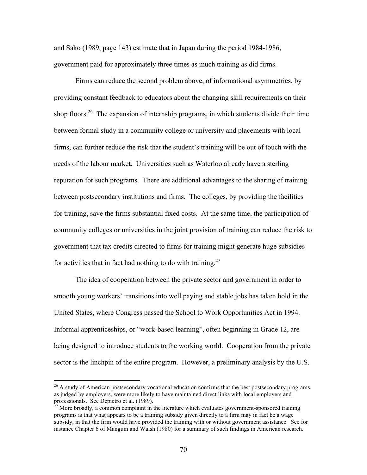and Sako (1989, page 143) estimate that in Japan during the period 1984-1986, government paid for approximately three times as much training as did firms.

Firms can reduce the second problem above, of informational asymmetries, by providing constant feedback to educators about the changing skill requirements on their shop floors.<sup>26</sup> The expansion of internship programs, in which students divide their time between formal study in a community college or university and placements with local firms, can further reduce the risk that the student's training will be out of touch with the needs of the labour market. Universities such as Waterloo already have a sterling reputation for such programs. There are additional advantages to the sharing of training between postsecondary institutions and firms. The colleges, by providing the facilities for training, save the firms substantial fixed costs. At the same time, the participation of community colleges or universities in the joint provision of training can reduce the risk to government that tax credits directed to firms for training might generate huge subsidies for activities that in fact had nothing to do with training.<sup>27</sup>

The idea of cooperation between the private sector and government in order to smooth young workers' transitions into well paying and stable jobs has taken hold in the United States, where Congress passed the School to Work Opportunities Act in 1994. Informal apprenticeships, or "work-based learning", often beginning in Grade 12, are being designed to introduce students to the working world. Cooperation from the private sector is the linchpin of the entire program. However, a preliminary analysis by the U.S.

 $^{26}$  A study of American postsecondary vocational education confirms that the best postsecondary programs, as judged by employers, were more likely to have maintained direct links with local employers and professionals. See Depietro et al. (1989).

 $27$  More broadly, a common complaint in the literature which evaluates government-sponsored training programs is that what appears to be a training subsidy given directly to a firm may in fact be a wage subsidy, in that the firm would have provided the training with or without government assistance. See for instance Chapter 6 of Mangum and Walsh (1980) for a summary of such findings in American research.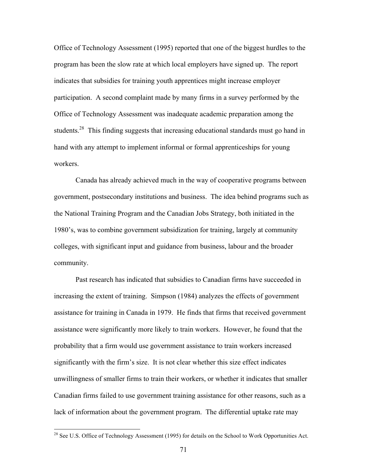Office of Technology Assessment (1995) reported that one of the biggest hurdles to the program has been the slow rate at which local employers have signed up. The report indicates that subsidies for training youth apprentices might increase employer participation. A second complaint made by many firms in a survey performed by the Office of Technology Assessment was inadequate academic preparation among the students.<sup>28</sup> This finding suggests that increasing educational standards must go hand in hand with any attempt to implement informal or formal apprenticeships for young workers.

Canada has already achieved much in the way of cooperative programs between government, postsecondary institutions and business. The idea behind programs such as the National Training Program and the Canadian Jobs Strategy, both initiated in the 1980's, was to combine government subsidization for training, largely at community colleges, with significant input and guidance from business, labour and the broader community.

Past research has indicated that subsidies to Canadian firms have succeeded in increasing the extent of training. Simpson (1984) analyzes the effects of government assistance for training in Canada in 1979. He finds that firms that received government assistance were significantly more likely to train workers. However, he found that the probability that a firm would use government assistance to train workers increased significantly with the firm's size. It is not clear whether this size effect indicates unwillingness of smaller firms to train their workers, or whether it indicates that smaller Canadian firms failed to use government training assistance for other reasons, such as a lack of information about the government program. The differential uptake rate may

<sup>&</sup>lt;sup>28</sup> See U.S. Office of Technology Assessment (1995) for details on the School to Work Opportunities Act.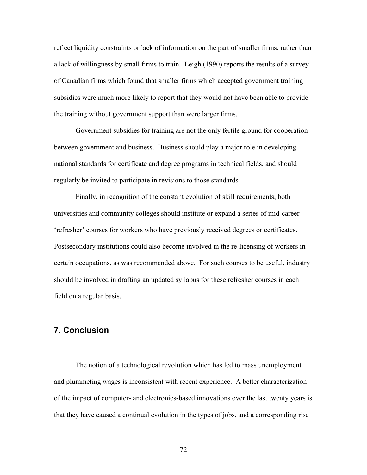reflect liquidity constraints or lack of information on the part of smaller firms, rather than a lack of willingness by small firms to train. Leigh (1990) reports the results of a survey of Canadian firms which found that smaller firms which accepted government training subsidies were much more likely to report that they would not have been able to provide the training without government support than were larger firms.

Government subsidies for training are not the only fertile ground for cooperation between government and business. Business should play a major role in developing national standards for certificate and degree programs in technical fields, and should regularly be invited to participate in revisions to those standards.

Finally, in recognition of the constant evolution of skill requirements, both universities and community colleges should institute or expand a series of mid-career 'refresher' courses for workers who have previously received degrees or certificates. Postsecondary institutions could also become involved in the re-licensing of workers in certain occupations, as was recommended above. For such courses to be useful, industry should be involved in drafting an updated syllabus for these refresher courses in each field on a regular basis.

## **7. Conclusion**

The notion of a technological revolution which has led to mass unemployment and plummeting wages is inconsistent with recent experience. A better characterization of the impact of computer- and electronics-based innovations over the last twenty years is that they have caused a continual evolution in the types of jobs, and a corresponding rise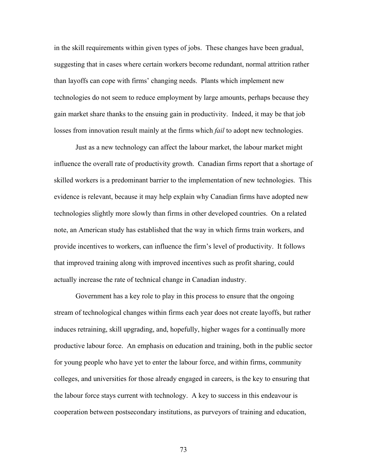in the skill requirements within given types of jobs. These changes have been gradual, suggesting that in cases where certain workers become redundant, normal attrition rather than layoffs can cope with firms' changing needs. Plants which implement new technologies do not seem to reduce employment by large amounts, perhaps because they gain market share thanks to the ensuing gain in productivity. Indeed, it may be that job losses from innovation result mainly at the firms which *fail* to adopt new technologies.

Just as a new technology can affect the labour market, the labour market might influence the overall rate of productivity growth. Canadian firms report that a shortage of skilled workers is a predominant barrier to the implementation of new technologies. This evidence is relevant, because it may help explain why Canadian firms have adopted new technologies slightly more slowly than firms in other developed countries. On a related note, an American study has established that the way in which firms train workers, and provide incentives to workers, can influence the firm's level of productivity. It follows that improved training along with improved incentives such as profit sharing, could actually increase the rate of technical change in Canadian industry.

Government has a key role to play in this process to ensure that the ongoing stream of technological changes within firms each year does not create layoffs, but rather induces retraining, skill upgrading, and, hopefully, higher wages for a continually more productive labour force. An emphasis on education and training, both in the public sector for young people who have yet to enter the labour force, and within firms, community colleges, and universities for those already engaged in careers, is the key to ensuring that the labour force stays current with technology. A key to success in this endeavour is cooperation between postsecondary institutions, as purveyors of training and education,

73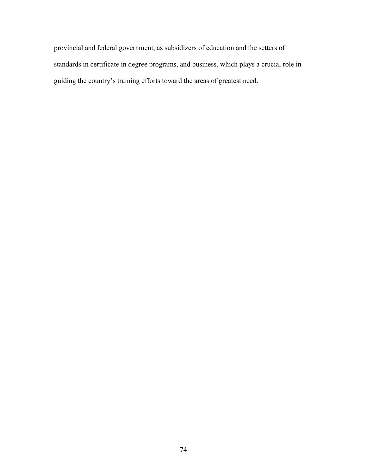provincial and federal government, as subsidizers of education and the setters of standards in certificate in degree programs, and business, which plays a crucial role in guiding the country's training efforts toward the areas of greatest need.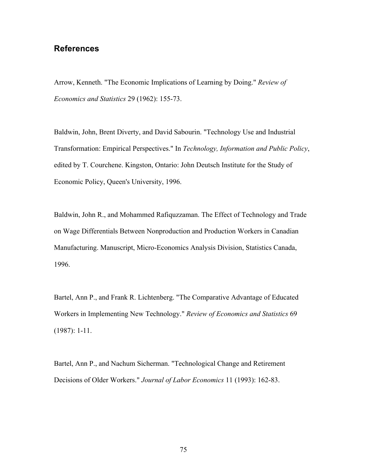## **References**

Arrow, Kenneth. "The Economic Implications of Learning by Doing." *Review of Economics and Statistics* 29 (1962): 155-73.

Baldwin, John, Brent Diverty, and David Sabourin. "Technology Use and Industrial Transformation: Empirical Perspectives." In *Technology, Information and Public Policy*, edited by T. Courchene. Kingston, Ontario: John Deutsch Institute for the Study of Economic Policy, Queen's University, 1996.

Baldwin, John R., and Mohammed Rafiquzzaman. The Effect of Technology and Trade on Wage Differentials Between Nonproduction and Production Workers in Canadian Manufacturing. Manuscript, Micro-Economics Analysis Division, Statistics Canada, 1996.

Bartel, Ann P., and Frank R. Lichtenberg. "The Comparative Advantage of Educated Workers in Implementing New Technology." *Review of Economics and Statistics* 69 (1987): 1-11.

Bartel, Ann P., and Nachum Sicherman. "Technological Change and Retirement Decisions of Older Workers." *Journal of Labor Economics* 11 (1993): 162-83.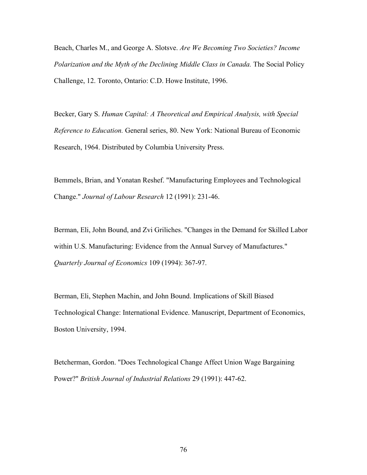Beach, Charles M., and George A. Slotsve. *Are We Becoming Two Societies? Income Polarization and the Myth of the Declining Middle Class in Canada.* The Social Policy Challenge, 12. Toronto, Ontario: C.D. Howe Institute, 1996.

Becker, Gary S. *Human Capital: A Theoretical and Empirical Analysis, with Special Reference to Education.* General series, 80. New York: National Bureau of Economic Research, 1964. Distributed by Columbia University Press.

Bemmels, Brian, and Yonatan Reshef. "Manufacturing Employees and Technological Change." *Journal of Labour Research* 12 (1991): 231-46.

Berman, Eli, John Bound, and Zvi Griliches. "Changes in the Demand for Skilled Labor within U.S. Manufacturing: Evidence from the Annual Survey of Manufactures." *Quarterly Journal of Economics* 109 (1994): 367-97.

Berman, Eli, Stephen Machin, and John Bound. Implications of Skill Biased Technological Change: International Evidence. Manuscript, Department of Economics, Boston University, 1994.

Betcherman, Gordon. "Does Technological Change Affect Union Wage Bargaining Power?" *British Journal of Industrial Relations* 29 (1991): 447-62.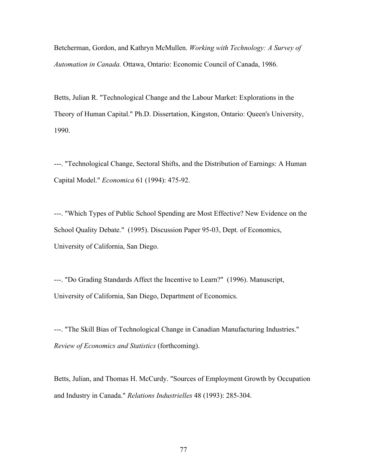Betcherman, Gordon, and Kathryn McMullen. *Working with Technology: A Survey of Automation in Canada.* Ottawa, Ontario: Economic Council of Canada, 1986.

Betts, Julian R. "Technological Change and the Labour Market: Explorations in the Theory of Human Capital." Ph.D. Dissertation, Kingston, Ontario: Queen's University, 1990.

---. "Technological Change, Sectoral Shifts, and the Distribution of Earnings: A Human Capital Model." *Economica* 61 (1994): 475-92.

---. "Which Types of Public School Spending are Most Effective? New Evidence on the School Quality Debate." (1995). Discussion Paper 95-03, Dept. of Economics, University of California, San Diego.

---. "Do Grading Standards Affect the Incentive to Learn?" (1996). Manuscript, University of California, San Diego, Department of Economics.

---. "The Skill Bias of Technological Change in Canadian Manufacturing Industries." *Review of Economics and Statistics* (forthcoming).

Betts, Julian, and Thomas H. McCurdy. "Sources of Employment Growth by Occupation and Industry in Canada." *Relations Industrielles* 48 (1993): 285-304.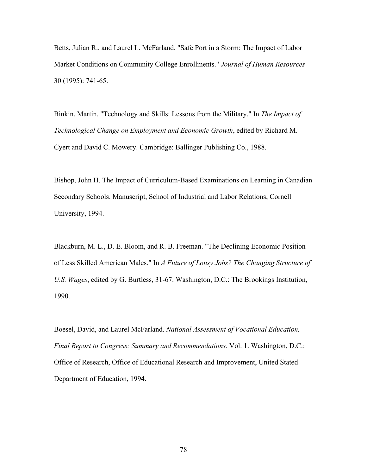Betts, Julian R., and Laurel L. McFarland. "Safe Port in a Storm: The Impact of Labor Market Conditions on Community College Enrollments." *Journal of Human Resources* 30 (1995): 741-65.

Binkin, Martin. "Technology and Skills: Lessons from the Military." In *The Impact of Technological Change on Employment and Economic Growth*, edited by Richard M. Cyert and David C. Mowery. Cambridge: Ballinger Publishing Co., 1988.

Bishop, John H. The Impact of Curriculum-Based Examinations on Learning in Canadian Secondary Schools. Manuscript, School of Industrial and Labor Relations, Cornell University, 1994.

Blackburn, M. L., D. E. Bloom, and R. B. Freeman. "The Declining Economic Position of Less Skilled American Males." In *A Future of Lousy Jobs? The Changing Structure of U.S. Wages*, edited by G. Burtless, 31-67. Washington, D.C.: The Brookings Institution, 1990.

Boesel, David, and Laurel McFarland. *National Assessment of Vocational Education, Final Report to Congress: Summary and Recommendations.* Vol. 1. Washington, D.C.: Office of Research, Office of Educational Research and Improvement, United Stated Department of Education, 1994.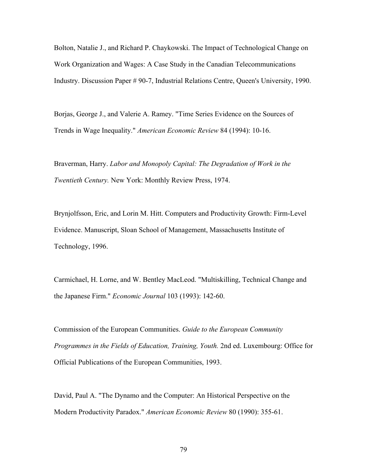Bolton, Natalie J., and Richard P. Chaykowski. The Impact of Technological Change on Work Organization and Wages: A Case Study in the Canadian Telecommunications Industry. Discussion Paper # 90-7, Industrial Relations Centre, Queen's University, 1990.

Borjas, George J., and Valerie A. Ramey. "Time Series Evidence on the Sources of Trends in Wage Inequality." *American Economic Review* 84 (1994): 10-16.

Braverman, Harry. *Labor and Monopoly Capital: The Degradation of Work in the Twentieth Century.* New York: Monthly Review Press, 1974.

Brynjolfsson, Eric, and Lorin M. Hitt. Computers and Productivity Growth: Firm-Level Evidence. Manuscript, Sloan School of Management, Massachusetts Institute of Technology, 1996.

Carmichael, H. Lorne, and W. Bentley MacLeod. "Multiskilling, Technical Change and the Japanese Firm." *Economic Journal* 103 (1993): 142-60.

Commission of the European Communities. *Guide to the European Community Programmes in the Fields of Education, Training, Youth.* 2nd ed. Luxembourg: Office for Official Publications of the European Communities, 1993.

David, Paul A. "The Dynamo and the Computer: An Historical Perspective on the Modern Productivity Paradox." *American Economic Review* 80 (1990): 355-61.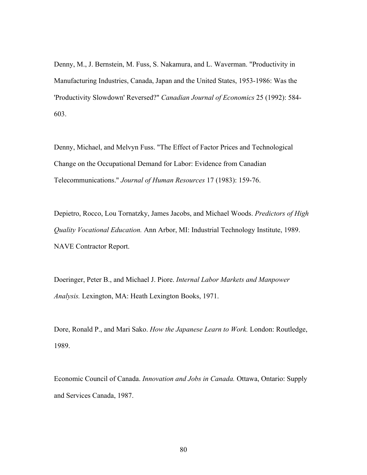Denny, M., J. Bernstein, M. Fuss, S. Nakamura, and L. Waverman. "Productivity in Manufacturing Industries, Canada, Japan and the United States, 1953-1986: Was the 'Productivity Slowdown' Reversed?" *Canadian Journal of Economics* 25 (1992): 584- 603.

Denny, Michael, and Melvyn Fuss. "The Effect of Factor Prices and Technological Change on the Occupational Demand for Labor: Evidence from Canadian Telecommunications." *Journal of Human Resources* 17 (1983): 159-76.

Depietro, Rocco, Lou Tornatzky, James Jacobs, and Michael Woods. *Predictors of High Quality Vocational Education.* Ann Arbor, MI: Industrial Technology Institute, 1989. NAVE Contractor Report.

Doeringer, Peter B., and Michael J. Piore. *Internal Labor Markets and Manpower Analysis.* Lexington, MA: Heath Lexington Books, 1971.

Dore, Ronald P., and Mari Sako. *How the Japanese Learn to Work.* London: Routledge, 1989.

Economic Council of Canada. *Innovation and Jobs in Canada.* Ottawa, Ontario: Supply and Services Canada, 1987.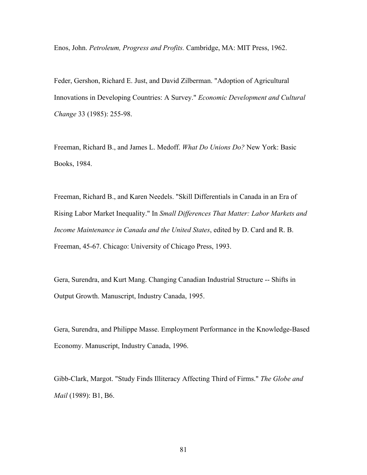Enos, John. *Petroleum, Progress and Profits.* Cambridge, MA: MIT Press, 1962.

Feder, Gershon, Richard E. Just, and David Zilberman. "Adoption of Agricultural Innovations in Developing Countries: A Survey." *Economic Development and Cultural Change* 33 (1985): 255-98.

Freeman, Richard B., and James L. Medoff. *What Do Unions Do?* New York: Basic Books, 1984.

Freeman, Richard B., and Karen Needels. "Skill Differentials in Canada in an Era of Rising Labor Market Inequality." In *Small Differences That Matter: Labor Markets and Income Maintenance in Canada and the United States*, edited by D. Card and R. B. Freeman, 45-67. Chicago: University of Chicago Press, 1993.

Gera, Surendra, and Kurt Mang. Changing Canadian Industrial Structure -- Shifts in Output Growth. Manuscript, Industry Canada, 1995.

Gera, Surendra, and Philippe Masse. Employment Performance in the Knowledge-Based Economy. Manuscript, Industry Canada, 1996.

Gibb-Clark, Margot. "Study Finds Illiteracy Affecting Third of Firms." *The Globe and Mail* (1989): B1, B6.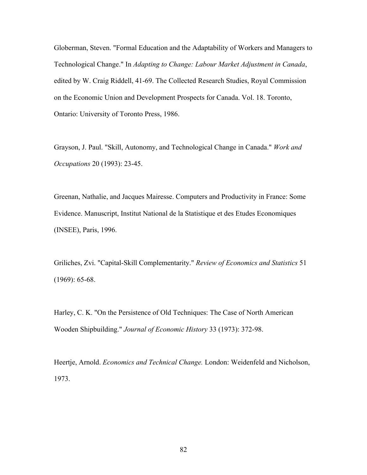Globerman, Steven. "Formal Education and the Adaptability of Workers and Managers to Technological Change." In *Adapting to Change: Labour Market Adjustment in Canada*, edited by W. Craig Riddell, 41-69. The Collected Research Studies, Royal Commission on the Economic Union and Development Prospects for Canada. Vol. 18. Toronto, Ontario: University of Toronto Press, 1986.

Grayson, J. Paul. "Skill, Autonomy, and Technological Change in Canada." *Work and Occupations* 20 (1993): 23-45.

Greenan, Nathalie, and Jacques Mairesse. Computers and Productivity in France: Some Evidence. Manuscript, Institut National de la Statistique et des Etudes Economiques (INSEE), Paris, 1996.

Griliches, Zvi. "Capital-Skill Complementarity." *Review of Economics and Statistics* 51 (1969): 65-68.

Harley, C. K. "On the Persistence of Old Techniques: The Case of North American Wooden Shipbuilding." *Journal of Economic History* 33 (1973): 372-98.

Heertje, Arnold. *Economics and Technical Change.* London: Weidenfeld and Nicholson, 1973.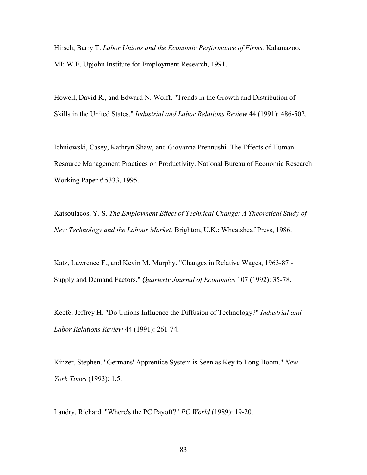Hirsch, Barry T. *Labor Unions and the Economic Performance of Firms.* Kalamazoo, MI: W.E. Upjohn Institute for Employment Research, 1991.

Howell, David R., and Edward N. Wolff. "Trends in the Growth and Distribution of Skills in the United States." *Industrial and Labor Relations Review* 44 (1991): 486-502.

Ichniowski, Casey, Kathryn Shaw, and Giovanna Prennushi. The Effects of Human Resource Management Practices on Productivity. National Bureau of Economic Research Working Paper # 5333, 1995.

Katsoulacos, Y. S. *The Employment Effect of Technical Change: A Theoretical Study of New Technology and the Labour Market.* Brighton, U.K.: Wheatsheaf Press, 1986.

Katz, Lawrence F., and Kevin M. Murphy. "Changes in Relative Wages, 1963-87 - Supply and Demand Factors." *Quarterly Journal of Economics* 107 (1992): 35-78.

Keefe, Jeffrey H. "Do Unions Influence the Diffusion of Technology?" *Industrial and Labor Relations Review* 44 (1991): 261-74.

Kinzer, Stephen. "Germans' Apprentice System is Seen as Key to Long Boom." *New York Times* (1993): 1,5.

Landry, Richard. "Where's the PC Payoff?" *PC World* (1989): 19-20.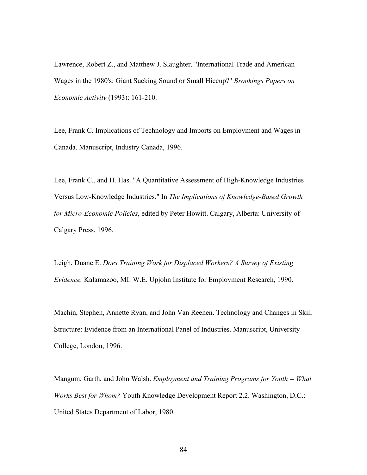Lawrence, Robert Z., and Matthew J. Slaughter. "International Trade and American Wages in the 1980's: Giant Sucking Sound or Small Hiccup?" *Brookings Papers on Economic Activity* (1993): 161-210.

Lee, Frank C. Implications of Technology and Imports on Employment and Wages in Canada. Manuscript, Industry Canada, 1996.

Lee, Frank C., and H. Has. "A Quantitative Assessment of High-Knowledge Industries Versus Low-Knowledge Industries." In *The Implications of Knowledge-Based Growth for Micro-Economic Policies*, edited by Peter Howitt. Calgary, Alberta: University of Calgary Press, 1996.

Leigh, Duane E. *Does Training Work for Displaced Workers? A Survey of Existing Evidence.* Kalamazoo, MI: W.E. Upjohn Institute for Employment Research, 1990.

Machin, Stephen, Annette Ryan, and John Van Reenen. Technology and Changes in Skill Structure: Evidence from an International Panel of Industries. Manuscript, University College, London, 1996.

Mangum, Garth, and John Walsh. *Employment and Training Programs for Youth -- What Works Best for Whom?* Youth Knowledge Development Report 2.2. Washington, D.C.: United States Department of Labor, 1980.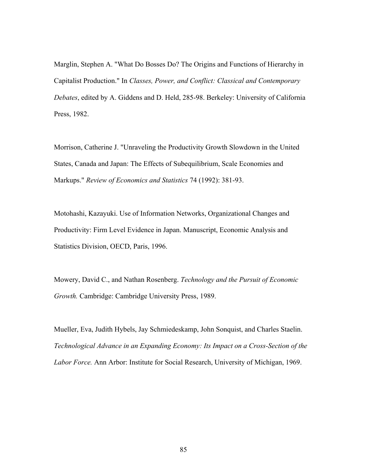Marglin, Stephen A. "What Do Bosses Do? The Origins and Functions of Hierarchy in Capitalist Production." In *Classes, Power, and Conflict: Classical and Contemporary Debates*, edited by A. Giddens and D. Held, 285-98. Berkeley: University of California Press, 1982.

Morrison, Catherine J. "Unraveling the Productivity Growth Slowdown in the United States, Canada and Japan: The Effects of Subequilibrium, Scale Economies and Markups." *Review of Economics and Statistics* 74 (1992): 381-93.

Motohashi, Kazayuki. Use of Information Networks, Organizational Changes and Productivity: Firm Level Evidence in Japan. Manuscript, Economic Analysis and Statistics Division, OECD, Paris, 1996.

Mowery, David C., and Nathan Rosenberg. *Technology and the Pursuit of Economic Growth.* Cambridge: Cambridge University Press, 1989.

Mueller, Eva, Judith Hybels, Jay Schmiedeskamp, John Sonquist, and Charles Staelin. *Technological Advance in an Expanding Economy: Its Impact on a Cross-Section of the Labor Force.* Ann Arbor: Institute for Social Research, University of Michigan, 1969.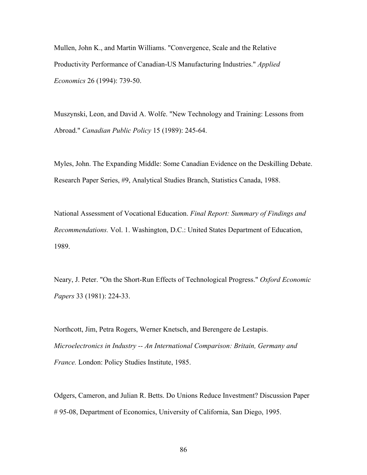Mullen, John K., and Martin Williams. "Convergence, Scale and the Relative Productivity Performance of Canadian-US Manufacturing Industries." *Applied Economics* 26 (1994): 739-50.

Muszynski, Leon, and David A. Wolfe. "New Technology and Training: Lessons from Abroad." *Canadian Public Policy* 15 (1989): 245-64.

Myles, John. The Expanding Middle: Some Canadian Evidence on the Deskilling Debate. Research Paper Series, #9, Analytical Studies Branch, Statistics Canada, 1988.

National Assessment of Vocational Education. *Final Report: Summary of Findings and Recommendations.* Vol. 1. Washington, D.C.: United States Department of Education, 1989.

Neary, J. Peter. "On the Short-Run Effects of Technological Progress." *Oxford Economic Papers* 33 (1981): 224-33.

Northcott, Jim, Petra Rogers, Werner Knetsch, and Berengere de Lestapis. *Microelectronics in Industry -- An International Comparison: Britain, Germany and France.* London: Policy Studies Institute, 1985.

Odgers, Cameron, and Julian R. Betts. Do Unions Reduce Investment? Discussion Paper # 95-08, Department of Economics, University of California, San Diego, 1995.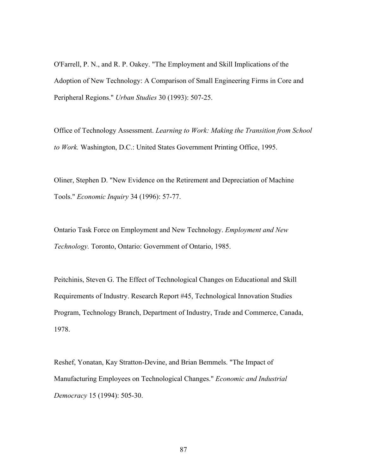O'Farrell, P. N., and R. P. Oakey. "The Employment and Skill Implications of the Adoption of New Technology: A Comparison of Small Engineering Firms in Core and Peripheral Regions." *Urban Studies* 30 (1993): 507-25.

Office of Technology Assessment. *Learning to Work: Making the Transition from School to Work.* Washington, D.C.: United States Government Printing Office, 1995.

Oliner, Stephen D. "New Evidence on the Retirement and Depreciation of Machine Tools." *Economic Inquiry* 34 (1996): 57-77.

Ontario Task Force on Employment and New Technology. *Employment and New Technology.* Toronto, Ontario: Government of Ontario, 1985.

Peitchinis, Steven G. The Effect of Technological Changes on Educational and Skill Requirements of Industry. Research Report #45, Technological Innovation Studies Program, Technology Branch, Department of Industry, Trade and Commerce, Canada, 1978.

Reshef, Yonatan, Kay Stratton-Devine, and Brian Bemmels. "The Impact of Manufacturing Employees on Technological Changes." *Economic and Industrial Democracy* 15 (1994): 505-30.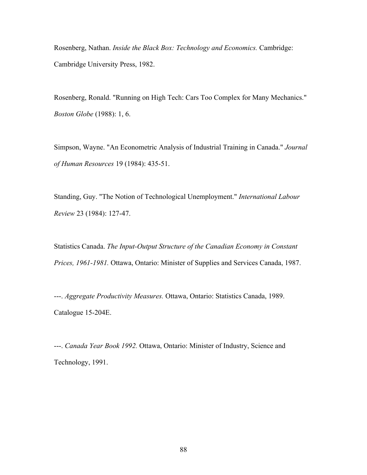Rosenberg, Nathan. *Inside the Black Box: Technology and Economics.* Cambridge: Cambridge University Press, 1982.

Rosenberg, Ronald. "Running on High Tech: Cars Too Complex for Many Mechanics." *Boston Globe* (1988): 1, 6.

Simpson, Wayne. "An Econometric Analysis of Industrial Training in Canada." *Journal of Human Resources* 19 (1984): 435-51.

Standing, Guy. "The Notion of Technological Unemployment." *International Labour Review* 23 (1984): 127-47.

Statistics Canada. *The Input-Output Structure of the Canadian Economy in Constant Prices, 1961-1981.* Ottawa, Ontario: Minister of Supplies and Services Canada, 1987.

---. *Aggregate Productivity Measures.* Ottawa, Ontario: Statistics Canada, 1989. Catalogue 15-204E.

---. *Canada Year Book 1992.* Ottawa, Ontario: Minister of Industry, Science and Technology, 1991.